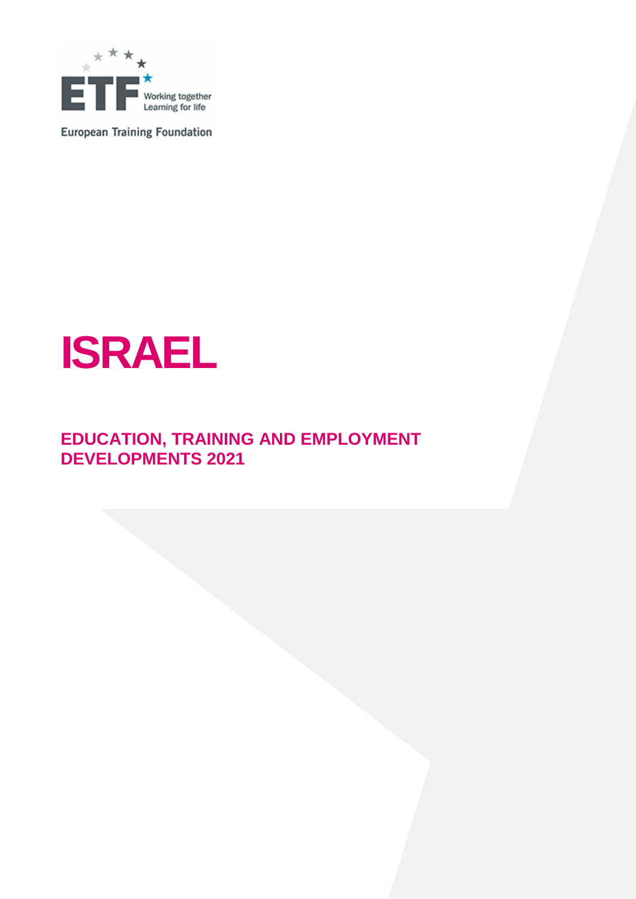

**European Training Foundation** 

# **ISRAEL**

# **EDUCATION, TRAINING AND EMPLOYMENT DEVELOPMENTS 2021**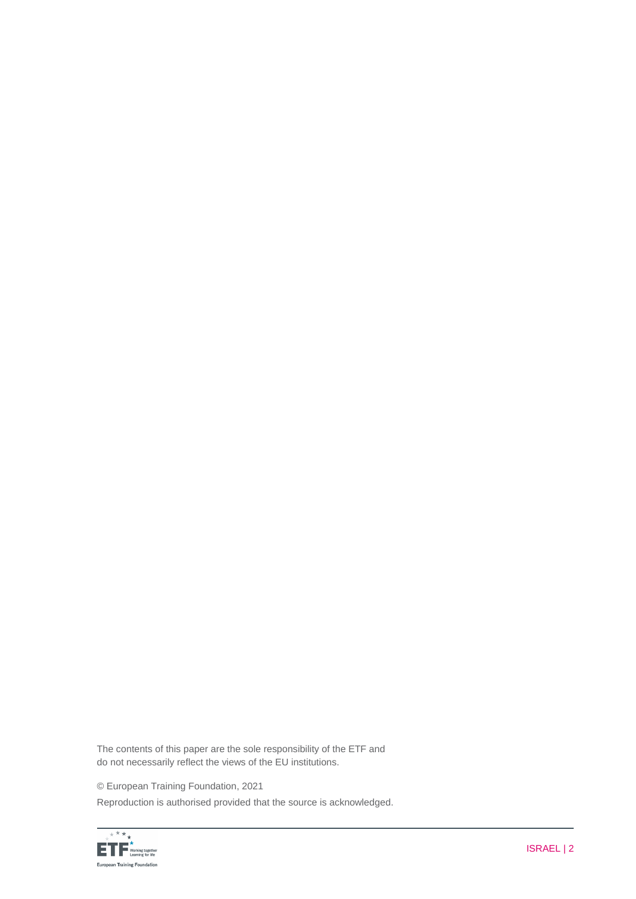The contents of this paper are the sole responsibility of the ETF and do not necessarily reflect the views of the EU institutions.

© European Training Foundation, 2021

Reproduction is authorised provided that the source is acknowledged.

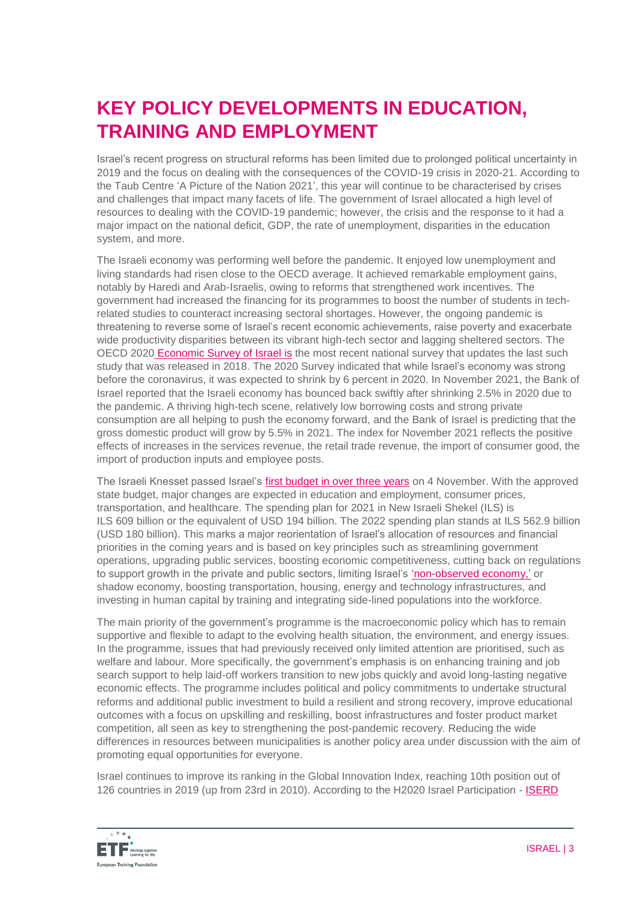# **KEY POLICY DEVELOPMENTS IN EDUCATION, TRAINING AND EMPLOYMENT**

Israel's recent progress on structural reforms has been limited due to prolonged political uncertainty in 2019 and the focus on dealing with the consequences of the COVID-19 crisis in 2020-21. According to the Taub Centre 'A Picture of the Nation 2021', this year will continue to be characterised by crises and challenges that impact many facets of life. The government of Israel allocated a high level of resources to dealing with the COVID-19 pandemic; however, the crisis and the response to it had a major impact on the national deficit, GDP, the rate of unemployment, disparities in the education system, and more.

The Israeli economy was performing well before the pandemic. It enjoyed low unemployment and living standards had risen close to the OECD average. It achieved remarkable employment gains, notably by Haredi and Arab-Israelis, owing to reforms that strengthened work incentives. The government had increased the financing for its programmes to boost the number of students in techrelated studies to counteract increasing sectoral shortages. However, the ongoing pandemic is threatening to reverse some of Israel's recent economic achievements, raise poverty and exacerbate wide productivity disparities between its vibrant high-tech sector and lagging sheltered sectors. The OECD 2020 [Economic Survey of Israel](http://www.oecd.org/economy/israel-economic-snapshot/) is the most recent national survey that updates the last such study that was released in 2018. The 2020 Survey indicated that while Israel's economy was strong before the coronavirus, it was expected to shrink by 6 percent in 2020. In November 2021, the Bank of Israel reported that the Israeli economy has bounced back swiftly after shrinking 2.5% in 2020 due to the pandemic. A thriving high-tech scene, relatively low borrowing costs and strong private consumption are all helping to push the economy forward, and the Bank of Israel is predicting that the gross domestic product will grow by 5.5% in 2021. The index for November 2021 reflects the positive effects of increases in the services revenue, the retail trade revenue, the import of consumer good, the import of production inputs and employee posts.

The Israeli Knesset passed Israel's [first budget in over three years](https://www.timesofisrael.com/coalition-passes-2021-budget-first-in-years-as-rest-of-vote-a-thon-awaits/) on 4 November. With the approved state budget, major changes are expected in education and employment, consumer prices, transportation, and healthcare. The spending plan for 2021 in New Israeli Shekel (ILS) is ILS 609 billion or the equivalent of USD 194 billion. The 2022 spending plan stands at ILS 562.9 billion (USD 180 billion). This marks a major reorientation of Israel's allocation of resources and financial priorities in the coming years and is based on key principles such as streamlining government operations, upgrading public services, boosting economic competitiveness, cutting back on regulations to support growth in the private and public sectors, limiting Israel's ['non-observed economy,'](https://www.timesofisrael.com/israels-hidden-cash-economy-has-shrunk-to-10-percent-of-gdp-says-economist/) or shadow economy, boosting transportation, housing, energy and technology infrastructures, and investing in human capital by training and integrating side-lined populations into the workforce.

The main priority of the government's programme is the macroeconomic policy which has to remain supportive and flexible to adapt to the evolving health situation, the environment, and energy issues. In the programme, issues that had previously received only limited attention are prioritised, such as welfare and labour. More specifically, the government's emphasis is on enhancing training and job search support to help laid-off workers transition to new jobs quickly and avoid long-lasting negative economic effects. The programme includes political and policy commitments to undertake structural reforms and additional public investment to build a resilient and strong recovery, improve educational outcomes with a focus on upskilling and reskilling, boost infrastructures and foster product market competition, all seen as key to strengthening the post-pandemic recovery. Reducing the wide differences in resources between municipalities is another policy area under discussion with the aim of promoting equal opportunities for everyone.

Israel continues to improve its ranking in the Global Innovation Index, reaching 10th position out of 126 countries in 2019 (up from 23rd in 2010). According to the H2020 Israel Participation - [ISERD](https://www.innovationisrael.org.il/ISERD/sites/default/files/IL_Statistics_20200921.pdf) 

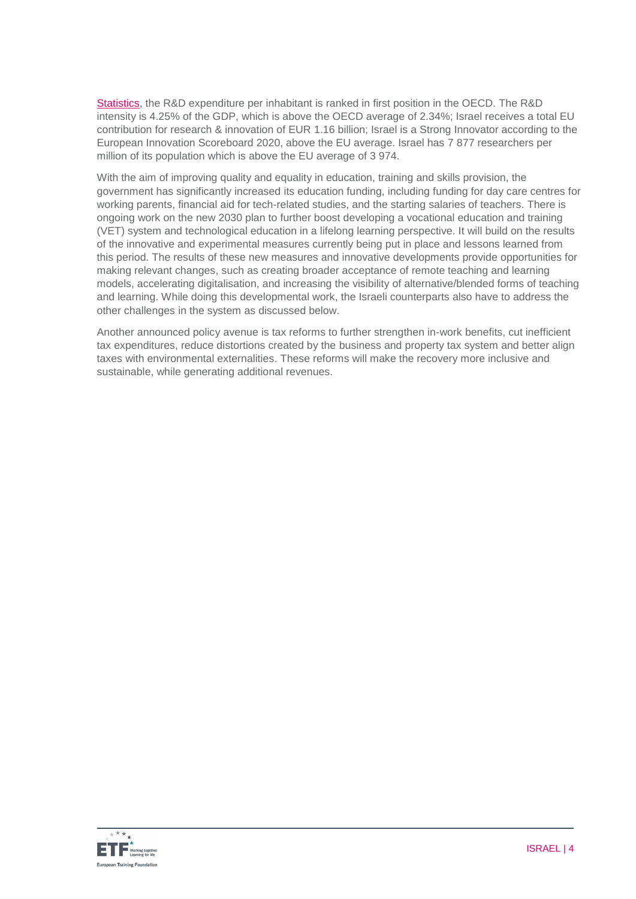[Statistics,](https://www.innovationisrael.org.il/ISERD/sites/default/files/IL_Statistics_20200921.pdf) the R&D expenditure per inhabitant is ranked in first position in the OECD. The R&D intensity is 4.25% of the GDP, which is above the OECD average of 2.34%; Israel receives a total EU contribution for research & innovation of EUR 1.16 billion; Israel is a Strong Innovator according to the European Innovation Scoreboard 2020, above the EU average. Israel has 7 877 researchers per million of its population which is above the EU average of 3 974.

With the aim of improving quality and equality in education, training and skills provision, the government has significantly increased its education funding, including funding for day care centres for working parents, financial aid for tech-related studies, and the starting salaries of teachers. There is ongoing work on the new 2030 plan to further boost developing a vocational education and training (VET) system and technological education in a lifelong learning perspective. It will build on the results of the innovative and experimental measures currently being put in place and lessons learned from this period. The results of these new measures and innovative developments provide opportunities for making relevant changes, such as creating broader acceptance of remote teaching and learning models, accelerating digitalisation, and increasing the visibility of alternative/blended forms of teaching and learning. While doing this developmental work, the Israeli counterparts also have to address the other challenges in the system as discussed below.

Another announced policy avenue is tax reforms to further strengthen in-work benefits, cut inefficient tax expenditures, reduce distortions created by the business and property tax system and better align taxes with environmental externalities. These reforms will make the recovery more inclusive and sustainable, while generating additional revenues.

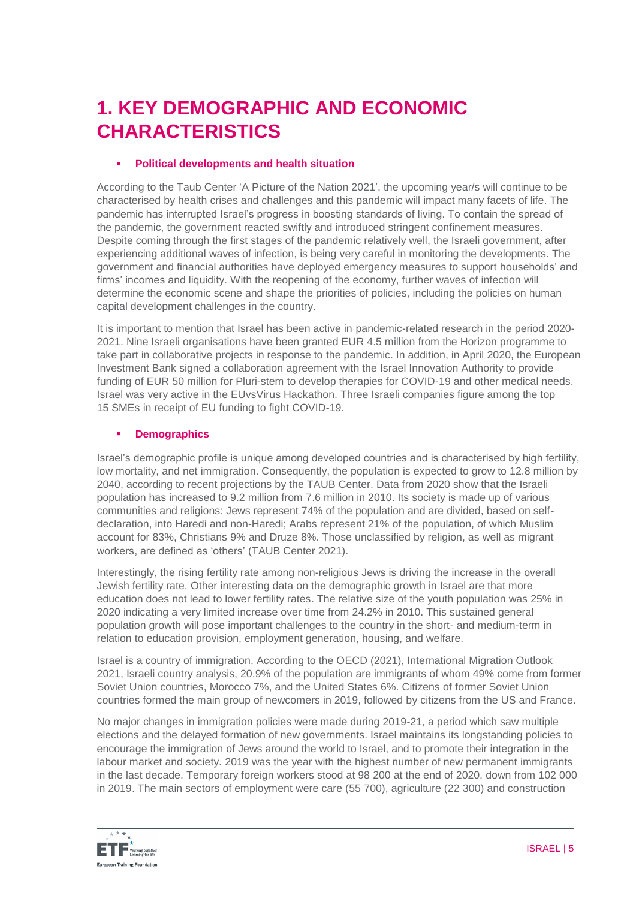# **1. KEY DEMOGRAPHIC AND ECONOMIC CHARACTERISTICS**

## **Political developments and health situation**

According to the Taub Center 'A Picture of the Nation 2021', the upcoming year/s will continue to be characterised by health crises and challenges and this pandemic will impact many facets of life. The pandemic has interrupted Israel's progress in boosting standards of living. To contain the spread of the pandemic, the government reacted swiftly and introduced stringent confinement measures. Despite coming through the first stages of the pandemic relatively well, the Israeli government, after experiencing additional waves of infection, is being very careful in monitoring the developments. The government and financial authorities have deployed emergency measures to support households' and firms' incomes and liquidity. With the reopening of the economy, further waves of infection will determine the economic scene and shape the priorities of policies, including the policies on human capital development challenges in the country.

It is important to mention that Israel has been active in pandemic-related research in the period 2020- 2021. Nine Israeli organisations have been granted EUR 4.5 million from the Horizon programme to take part in collaborative projects in response to the pandemic. In addition, in April 2020, the European Investment Bank signed a collaboration agreement with the Israel Innovation Authority to provide funding of EUR 50 million for Pluri-stem to develop therapies for COVID-19 and other medical needs. Israel was very active in the EUvsVirus Hackathon. Three Israeli companies figure among the top 15 SMEs in receipt of EU funding to fight COVID-19.

# **Demographics**

Israel's demographic profile is unique among developed countries and is characterised by high fertility, low mortality, and net immigration. Consequently, the population is expected to grow to 12.8 million by 2040, according to recent projections by the TAUB Center. Data from 2020 show that the Israeli population has increased to 9.2 million from 7.6 million in 2010. Its society is made up of various communities and religions: Jews represent 74% of the population and are divided, based on selfdeclaration, into Haredi and non-Haredi; Arabs represent 21% of the population, of which Muslim account for 83%, Christians 9% and Druze 8%. Those unclassified by religion, as well as migrant workers, are defined as 'others' (TAUB Center 2021).

Interestingly, the rising fertility rate among non-religious Jews is driving the increase in the overall Jewish fertility rate. Other interesting data on the demographic growth in Israel are that more education does not lead to lower fertility rates. The relative size of the youth population was 25% in 2020 indicating a very limited increase over time from 24.2% in 2010. This sustained general population growth will pose important challenges to the country in the short- and medium-term in relation to education provision, employment generation, housing, and welfare.

Israel is a country of immigration. According to the OECD (2021), International Migration Outlook 2021, Israeli country analysis, 20.9% of the population are immigrants of whom 49% come from former Soviet Union countries, Morocco 7%, and the United States 6%. Citizens of former Soviet Union countries formed the main group of newcomers in 2019, followed by citizens from the US and France.

No major changes in immigration policies were made during 2019-21, a period which saw multiple elections and the delayed formation of new governments. Israel maintains its longstanding policies to encourage the immigration of Jews around the world to Israel, and to promote their integration in the labour market and society. 2019 was the year with the highest number of new permanent immigrants in the last decade. Temporary foreign workers stood at 98 200 at the end of 2020, down from 102 000 in 2019. The main sectors of employment were care (55 700), agriculture (22 300) and construction

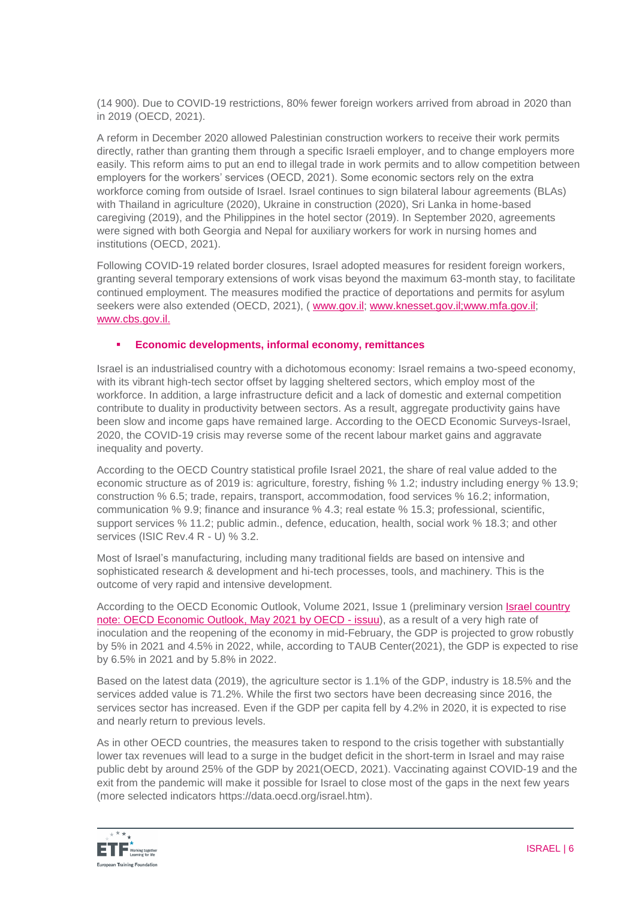(14 900). Due to COVID-19 restrictions, 80% fewer foreign workers arrived from abroad in 2020 than in 2019 (OECD, 2021).

A reform in December 2020 allowed Palestinian construction workers to receive their work permits directly, rather than granting them through a specific Israeli employer, and to change employers more easily. This reform aims to put an end to illegal trade in work permits and to allow competition between employers for the workers' services (OECD, 2021). Some economic sectors rely on the extra workforce coming from outside of Israel. Israel continues to sign bilateral labour agreements (BLAs) with Thailand in agriculture (2020), Ukraine in construction (2020), Sri Lanka in home-based caregiving (2019), and the Philippines in the hotel sector (2019). In September 2020, agreements were signed with both Georgia and Nepal for auxiliary workers for work in nursing homes and institutions (OECD, 2021).

Following COVID-19 related border closures, Israel adopted measures for resident foreign workers, granting several temporary extensions of work visas beyond the maximum 63-month stay, to facilitate continued employment. The measures modified the practice of deportations and permits for asylum seekers were also extended (OECD, 2021), ( [www.gov.il;](http://www.gov.il/) www.knesset.gov.il;www.mfa.gov.il; [www.cbs.gov.il.](http://www.cbs.gov.il/)

### **Economic developments, informal economy, remittances**

Israel is an industrialised country with a dichotomous economy: Israel remains a two-speed economy, with its vibrant high-tech sector offset by lagging sheltered sectors, which employ most of the workforce. In addition, a large infrastructure deficit and a lack of domestic and external competition contribute to duality in productivity between sectors. As a result, aggregate productivity gains have been slow and income gaps have remained large. According to the OECD Economic Surveys-Israel, 2020, the COVID-19 crisis may reverse some of the recent labour market gains and aggravate inequality and poverty.

According to the OECD Country statistical profile Israel 2021, the share of real value added to the economic structure as of 2019 is: agriculture, forestry, fishing % 1.2; industry including energy % 13.9; construction % 6.5; trade, repairs, transport, accommodation, food services % 16.2; information, communication % 9.9; finance and insurance % 4.3; real estate % 15.3; professional, scientific, support services % 11.2; public admin., defence, education, health, social work % 18.3; and other services (ISIC Rev.4 R - U) % 3.2.

Most of Israel's manufacturing, including many traditional fields are based on intensive and sophisticated research & development and hi-tech processes, tools, and machinery. This is the outcome of very rapid and intensive development.

According to the OECD Economic Outlook, Volume 2021, Issue 1 (preliminary version [Israel country](https://issuu.com/oecd.publishing/docs/israel-oecd-economic-outlook-may-2021)  [note: OECD Economic Outlook, May 2021 by OECD -](https://issuu.com/oecd.publishing/docs/israel-oecd-economic-outlook-may-2021) issuu), as a result of a very high rate of inoculation and the reopening of the economy in mid-February, the GDP is projected to grow robustly by 5% in 2021 and 4.5% in 2022, while, according to TAUB Center(2021), the GDP is expected to rise by 6.5% in 2021 and by 5.8% in 2022.

Based on the latest data (2019), the agriculture sector is 1.1% of the GDP, industry is 18.5% and the services added value is 71.2%. While the first two sectors have been decreasing since 2016, the services sector has increased. Even if the GDP per capita fell by 4.2% in 2020, it is expected to rise and nearly return to previous levels.

As in other OECD countries, the measures taken to respond to the crisis together with substantially lower tax revenues will lead to a surge in the budget deficit in the short-term in Israel and may raise public debt by around 25% of the GDP by 2021(OECD, 2021). Vaccinating against COVID-19 and the exit from the pandemic will make it possible for Israel to close most of the gaps in the next few years (more selected indicators https://data.oecd.org/israel.htm).

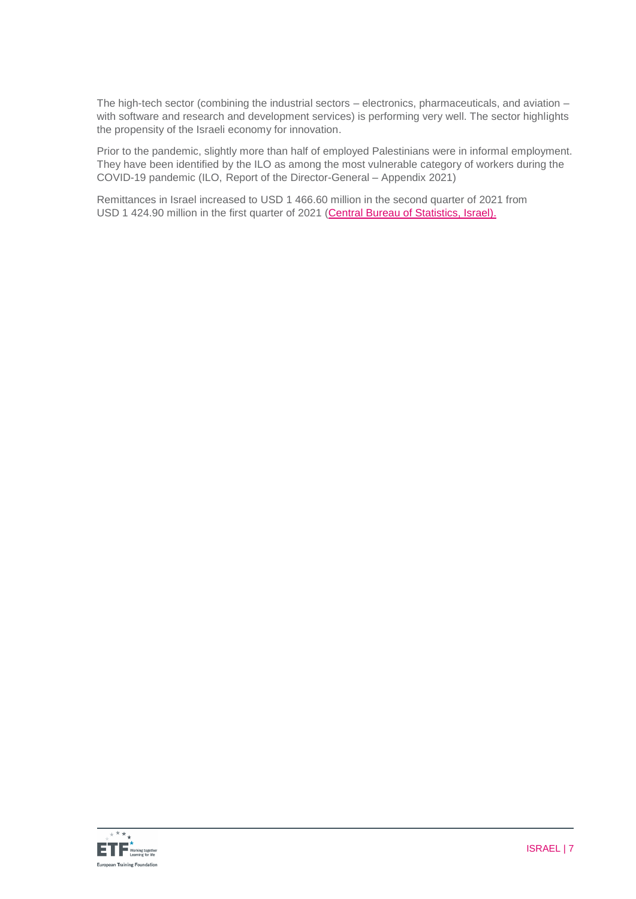The high-tech sector (combining the industrial sectors – electronics, pharmaceuticals, and aviation – with software and research and development services) is performing very well. The sector highlights the propensity of the Israeli economy for innovation.

Prior to the pandemic, slightly more than half of employed Palestinians were in informal employment. They have been identified by the ILO as among the most vulnerable category of workers during the COVID-19 pandemic (ILO, Report of the Director-General – Appendix 2021)

Remittances in Israel increased to USD 1 466.60 million in the second quarter of 2021 from USD 1 424.90 million in the first quarter of 2021 [\(Central Bureau of Statistics, Israel\)](http://www.cbs.gov.il/).

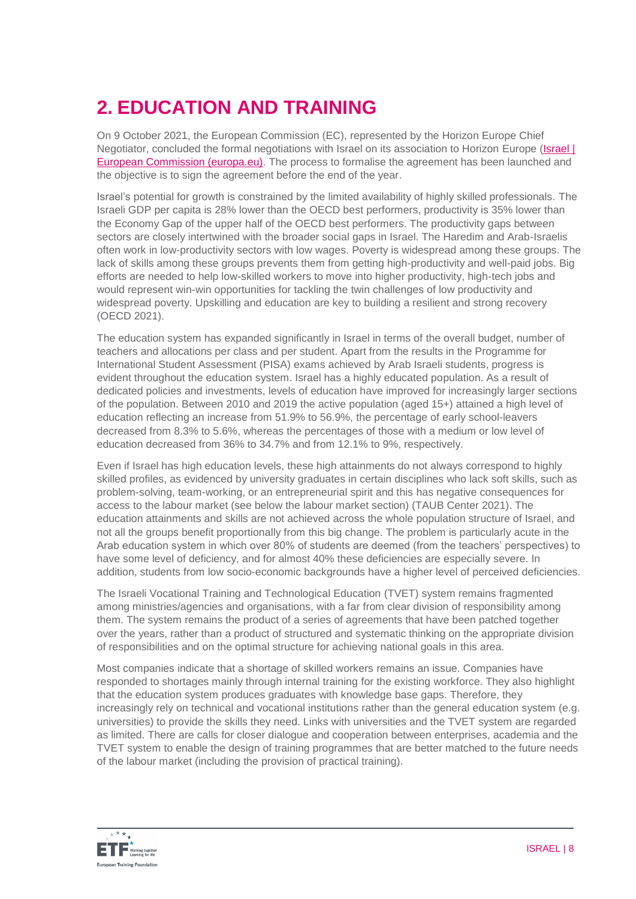# **2. EDUCATION AND TRAINING**

On 9 October 2021, the European Commission (EC), represented by the Horizon Europe Chief Negotiator, concluded the formal negotiations with Israel on its association to Horizon Europe (Israel I) [European Commission \(europa.eu\).](https://ec.europa.eu/info/research-and-innovation/strategy/strategy-2020-2024/europe-world/international-cooperation/israel_en) The process to formalise the agreement has been launched and the objective is to sign the agreement before the end of the year.

Israel's potential for growth is constrained by the limited availability of highly skilled professionals. The Israeli GDP per capita is 28% lower than the OECD best performers, productivity is 35% lower than the Economy Gap of the upper half of the OECD best performers. The productivity gaps between sectors are closely intertwined with the broader social gaps in Israel. The Haredim and Arab-Israelis often work in low-productivity sectors with low wages. Poverty is widespread among these groups. The lack of skills among these groups prevents them from getting high-productivity and well-paid jobs. Big efforts are needed to help low-skilled workers to move into higher productivity, high-tech jobs and would represent win-win opportunities for tackling the twin challenges of low productivity and widespread poverty. Upskilling and education are key to building a resilient and strong recovery (OECD 2021).

The education system has expanded significantly in Israel in terms of the overall budget, number of teachers and allocations per class and per student. Apart from the results in the Programme for International Student Assessment (PISA) exams achieved by Arab Israeli students, progress is evident throughout the education system. Israel has a highly educated population. As a result of dedicated policies and investments, levels of education have improved for increasingly larger sections of the population. Between 2010 and 2019 the active population (aged 15+) attained a high level of education reflecting an increase from 51.9% to 56.9%, the percentage of early school-leavers decreased from 8.3% to 5.6%, whereas the percentages of those with a medium or low level of education decreased from 36% to 34.7% and from 12.1% to 9%, respectively.

Even if Israel has high education levels, these high attainments do not always correspond to highly skilled profiles, as evidenced by university graduates in certain disciplines who lack soft skills, such as problem-solving, team-working, or an entrepreneurial spirit and this has negative consequences for access to the labour market (see below the labour market section) (TAUB Center 2021). The education attainments and skills are not achieved across the whole population structure of Israel, and not all the groups benefit proportionally from this big change. The problem is particularly acute in the Arab education system in which over 80% of students are deemed (from the teachers' perspectives) to have some level of deficiency, and for almost 40% these deficiencies are especially severe. In addition, students from low socio-economic backgrounds have a higher level of perceived deficiencies.

The Israeli Vocational Training and Technological Education (TVET) system remains fragmented among ministries/agencies and organisations, with a far from clear division of responsibility among them. The system remains the product of a series of agreements that have been patched together over the years, rather than a product of structured and systematic thinking on the appropriate division of responsibilities and on the optimal structure for achieving national goals in this area.

Most companies indicate that a shortage of skilled workers remains an issue. Companies have responded to shortages mainly through internal training for the existing workforce. They also highlight that the education system produces graduates with knowledge base gaps. Therefore, they increasingly rely on technical and vocational institutions rather than the general education system (e.g. universities) to provide the skills they need. Links with universities and the TVET system are regarded as limited. There are calls for closer dialogue and cooperation between enterprises, academia and the TVET system to enable the design of training programmes that are better matched to the future needs of the labour market (including the provision of practical training).

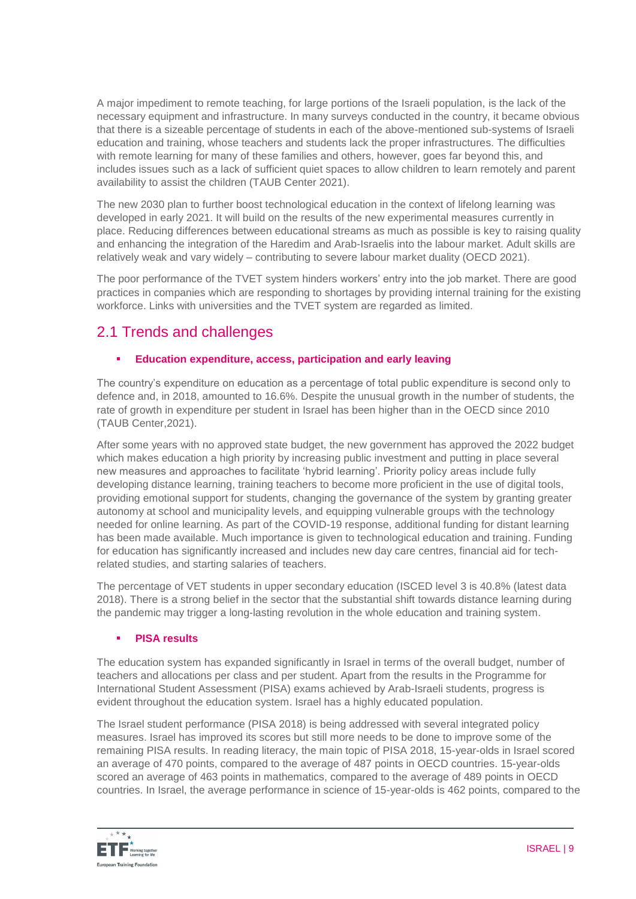A major impediment to remote teaching, for large portions of the Israeli population, is the lack of the necessary equipment and infrastructure. In many surveys conducted in the country, it became obvious that there is a sizeable percentage of students in each of the above-mentioned sub-systems of Israeli education and training, whose teachers and students lack the proper infrastructures. The difficulties with remote learning for many of these families and others, however, goes far beyond this, and includes issues such as a lack of sufficient quiet spaces to allow children to learn remotely and parent availability to assist the children (TAUB Center 2021).

The new 2030 plan to further boost technological education in the context of lifelong learning was developed in early 2021. It will build on the results of the new experimental measures currently in place. Reducing differences between educational streams as much as possible is key to raising quality and enhancing the integration of the Haredim and Arab-Israelis into the labour market. Adult skills are relatively weak and vary widely – contributing to severe labour market duality (OECD 2021).

The poor performance of the TVET system hinders workers' entry into the job market. There are good practices in companies which are responding to shortages by providing internal training for the existing workforce. Links with universities and the TVET system are regarded as limited.

# 2.1 Trends and challenges

# **Education expenditure, access, participation and early leaving**

The country's expenditure on education as a percentage of total public expenditure is second only to defence and, in 2018, amounted to 16.6%. Despite the unusual growth in the number of students, the rate of growth in expenditure per student in Israel has been higher than in the OECD since 2010 (TAUB Center,2021).

After some years with no approved state budget, the new government has approved the 2022 budget which makes education a high priority by increasing public investment and putting in place several new measures and approaches to facilitate 'hybrid learning'. Priority policy areas include fully developing distance learning, training teachers to become more proficient in the use of digital tools, providing emotional support for students, changing the governance of the system by granting greater autonomy at school and municipality levels, and equipping vulnerable groups with the technology needed for online learning. As part of the COVID-19 response, additional funding for distant learning has been made available. Much importance is given to technological education and training. Funding for education has significantly increased and includes new day care centres, financial aid for techrelated studies, and starting salaries of teachers.

The percentage of VET students in upper secondary education (ISCED level 3 is 40.8% (latest data 2018). There is a strong belief in the sector that the substantial shift towards distance learning during the pandemic may trigger a long-lasting revolution in the whole education and training system.

# **PISA results**

The education system has expanded significantly in Israel in terms of the overall budget, number of teachers and allocations per class and per student. Apart from the results in the Programme for International Student Assessment (PISA) exams achieved by Arab-Israeli students, progress is evident throughout the education system. Israel has a highly educated population.

The Israel student performance (PISA 2018) is being addressed with several integrated policy measures. Israel has improved its scores but still more needs to be done to improve some of the remaining PISA results. In reading literacy, the main topic of PISA 2018, 15-year-olds in Israel scored an average of 470 points, compared to the average of 487 points in OECD countries. 15-year-olds scored an average of 463 points in mathematics, compared to the average of 489 points in OECD countries. In Israel, the average performance in science of 15-year-olds is 462 points, compared to the

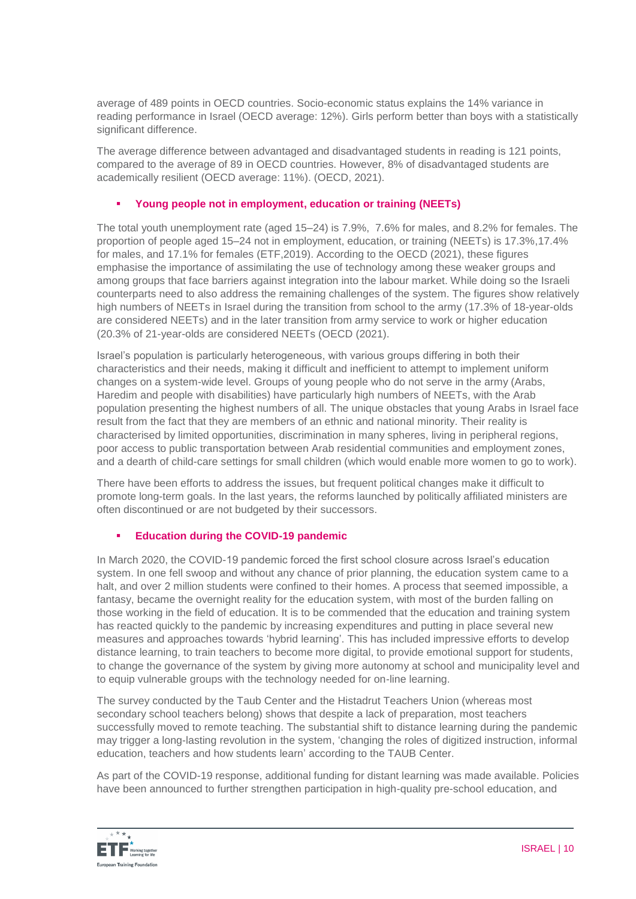average of 489 points in OECD countries. Socio-economic status explains the 14% variance in reading performance in Israel (OECD average: 12%). Girls perform better than boys with a statistically significant difference.

The average difference between advantaged and disadvantaged students in reading is 121 points, compared to the average of 89 in OECD countries. However, 8% of disadvantaged students are academically resilient (OECD average: 11%). (OECD, 2021).

### **Young people not in employment, education or training (NEETs)**

The total youth unemployment rate (aged 15–24) is 7.9%, 7.6% for males, and 8.2% for females. The proportion of people aged 15–24 not in employment, education, or training (NEETs) is 17.3%,17.4% for males, and 17.1% for females (ETF,2019). According to the OECD (2021), these figures emphasise the importance of assimilating the use of technology among these weaker groups and among groups that face barriers against integration into the labour market. While doing so the Israeli counterparts need to also address the remaining challenges of the system. The figures show relatively high numbers of NEETs in Israel during the transition from school to the army (17.3% of 18-year-olds are considered NEETs) and in the later transition from army service to work or higher education (20.3% of 21-year-olds are considered NEETs (OECD (2021).

Israel's population is particularly heterogeneous, with various groups differing in both their characteristics and their needs, making it difficult and inefficient to attempt to implement uniform changes on a system-wide level. Groups of young people who do not serve in the army (Arabs, Haredim and people with disabilities) have particularly high numbers of NEETs, with the Arab population presenting the highest numbers of all. The unique obstacles that young Arabs in Israel face result from the fact that they are members of an ethnic and national minority. Their reality is characterised by limited opportunities, discrimination in many spheres, living in peripheral regions, poor access to public transportation between Arab residential communities and employment zones, and a dearth of child-care settings for small children (which would enable more women to go to work).

There have been efforts to address the issues, but frequent political changes make it difficult to promote long-term goals. In the last years, the reforms launched by politically affiliated ministers are often discontinued or are not budgeted by their successors.

# **Education during the COVID-19 pandemic**

In March 2020, the COVID-19 pandemic forced the first school closure across Israel's education system. In one fell swoop and without any chance of prior planning, the education system came to a halt, and over 2 million students were confined to their homes. A process that seemed impossible, a fantasy, became the overnight reality for the education system, with most of the burden falling on those working in the field of education. It is to be commended that the education and training system has reacted quickly to the pandemic by increasing expenditures and putting in place several new measures and approaches towards 'hybrid learning'. This has included impressive efforts to develop distance learning, to train teachers to become more digital, to provide emotional support for students, to change the governance of the system by giving more autonomy at school and municipality level and to equip vulnerable groups with the technology needed for on-line learning.

The survey conducted by the Taub Center and the Histadrut Teachers Union (whereas most secondary school teachers belong) shows that despite a lack of preparation, most teachers successfully moved to remote teaching. The substantial shift to distance learning during the pandemic may trigger a long-lasting revolution in the system, 'changing the roles of digitized instruction, informal education, teachers and how students learn' according to the TAUB Center.

As part of the COVID-19 response, additional funding for distant learning was made available. Policies have been announced to further strengthen participation in high-quality pre-school education, and

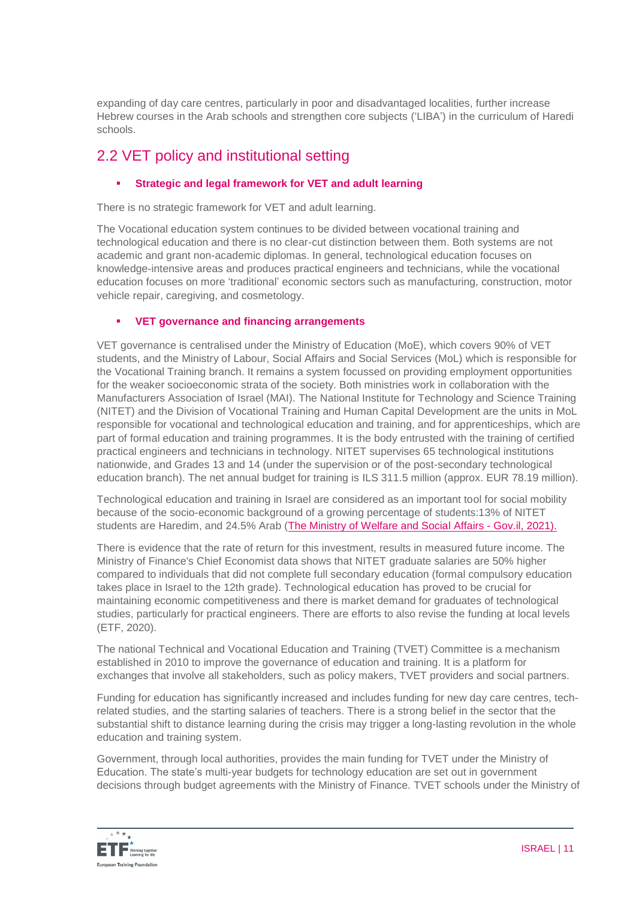expanding of day care centres, particularly in poor and disadvantaged localities, further increase Hebrew courses in the Arab schools and strengthen core subjects ('LIBA') in the curriculum of Haredi schools.

# 2.2 VET policy and institutional setting

# **Strategic and legal framework for VET and adult learning**

There is no strategic framework for VET and adult learning.

The Vocational education system continues to be divided between vocational training and technological education and there is no clear-cut distinction between them. Both systems are not academic and grant non-academic diplomas. In general, technological education focuses on knowledge-intensive areas and produces practical engineers and technicians, while the vocational education focuses on more 'traditional' economic sectors such as manufacturing, construction, motor vehicle repair, caregiving, and cosmetology.

# **VET governance and financing arrangements**

VET governance is centralised under the Ministry of Education (MoE), which covers 90% of VET students, and the Ministry of Labour, Social Affairs and Social Services (MoL) which is responsible for the Vocational Training branch. It remains a system focussed on providing employment opportunities for the weaker socioeconomic strata of the society. Both ministries work in collaboration with the Manufacturers Association of Israel (MAI). The National Institute for Technology and Science Training (NITET) and the Division of Vocational Training and Human Capital Development are the units in MoL responsible for vocational and technological education and training, and for apprenticeships, which are part of formal education and training programmes. It is the body entrusted with the training of certified practical engineers and technicians in technology. NITET supervises 65 technological institutions nationwide, and Grades 13 and 14 (under the supervision or of the post-secondary technological education branch). The net annual budget for training is ILS 311.5 million (approx. EUR 78.19 million).

Technological education and training in Israel are considered as an important tool for social mobility because of the socio-economic background of a growing percentage of students:13% of NITET students are Haredim, and 24.5% Arab [\(The Ministry of Welfare and Social Affairs -](https://www.gov.il/en/departments/molsa/govil-landing-page) Gov.il, 2021).

There is evidence that the rate of return for this investment, results in measured future income. The Ministry of Finance's Chief Economist data shows that NITET graduate salaries are 50% higher compared to individuals that did not complete full secondary education (formal compulsory education takes place in Israel to the 12th grade). Technological education has proved to be crucial for maintaining economic competitiveness and there is market demand for graduates of technological studies, particularly for practical engineers. There are efforts to also revise the funding at local levels (ETF, 2020).

The national Technical and Vocational Education and Training (TVET) Committee is a mechanism established in 2010 to improve the governance of education and training. It is a platform for exchanges that involve all stakeholders, such as policy makers, TVET providers and social partners.

Funding for education has significantly increased and includes funding for new day care centres, techrelated studies, and the starting salaries of teachers. There is a strong belief in the sector that the substantial shift to distance learning during the crisis may trigger a long-lasting revolution in the whole education and training system.

Government, through local authorities, provides the main funding for TVET under the Ministry of Education. The state's multi-year budgets for technology education are set out in government decisions through budget agreements with the Ministry of Finance. TVET schools under the Ministry of

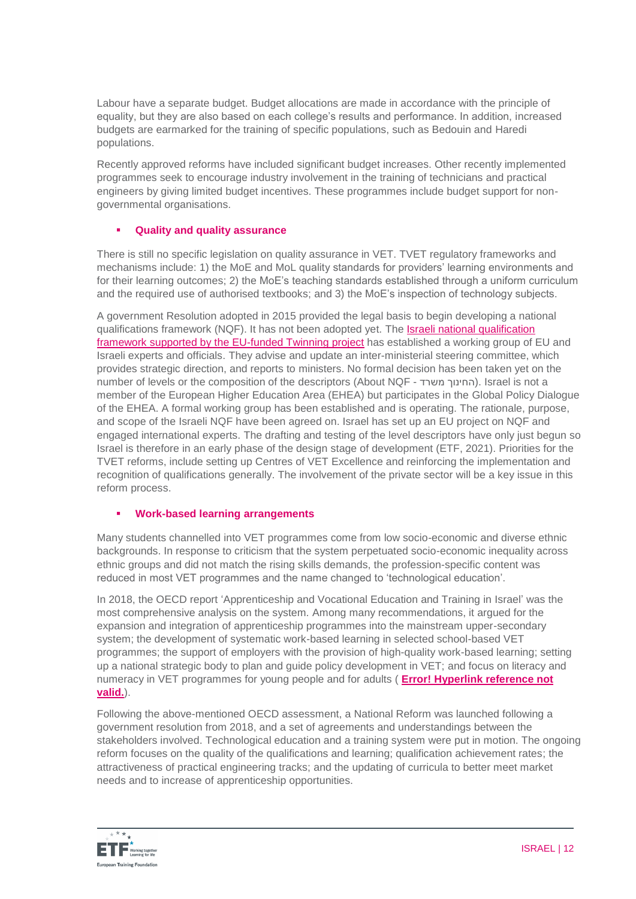Labour have a separate budget. Budget allocations are made in accordance with the principle of equality, but they are also based on each college's results and performance. In addition, increased budgets are earmarked for the training of specific populations, such as Bedouin and Haredi populations.

Recently approved reforms have included significant budget increases. Other recently implemented programmes seek to encourage industry involvement in the training of technicians and practical engineers by giving limited budget incentives. These programmes include budget support for nongovernmental organisations.

### **Quality and quality assurance**

There is still no specific legislation on quality assurance in VET. TVET regulatory frameworks and mechanisms include: 1) the MoE and MoL quality standards for providers' learning environments and for their learning outcomes; 2) the MoE's teaching standards established through a uniform curriculum and the required use of authorised textbooks; and 3) the MoE's inspection of technology subjects.

A government Resolution adopted in 2015 provided the legal basis to begin developing a national qualifications framework (NQF). It has not been adopted yet. The [Israeli national qualification](https://www.etf.europa.eu/en/news-and-events/news/study-visit-israeli-working-group-national-qualifications-framework)  [framework supported by the EU-funded Twinning project](https://www.etf.europa.eu/en/news-and-events/news/study-visit-israeli-working-group-national-qualifications-framework) has established a working group of EU and Israeli experts and officials. They advise and update an inter-ministerial steering committee, which provides strategic direction, and reports to ministers. No formal decision has been taken yet on the number of levels or the composition of the descriptors (About NQF - החינוך משרד). Israel is not a member of the European Higher Education Area (EHEA) but participates in the Global Policy Dialogue of the EHEA. A formal working group has been established and is operating. The rationale, purpose, and scope of the Israeli NQF have been agreed on. Israel has set up an EU project on NQF and engaged international experts. The drafting and testing of the level descriptors have only just begun so Israel is therefore in an early phase of the design stage of development (ETF, 2021). Priorities for the TVET reforms, include setting up Centres of VET Excellence and reinforcing the implementation and recognition of qualifications generally. The involvement of the private sector will be a key issue in this reform process.

### **Work-based learning arrangements**

Many students channelled into VET programmes come from low socio-economic and diverse ethnic backgrounds. In response to criticism that the system perpetuated socio-economic inequality across ethnic groups and did not match the rising skills demands, the profession-specific content was reduced in most VET programmes and the name changed to 'technological education'.

In 2018, the OECD report 'Apprenticeship and Vocational Education and Training in Israel' was the most comprehensive analysis on the system*.* Among many recommendations, it argued for the expansion and integration of apprenticeship programmes into the mainstream upper-secondary system; the development of systematic work-based learning in selected school-based VET programmes; the support of employers with the provision of high-quality work-based learning; setting up a national strategic body to plan and guide policy development in VET; and focus on literacy and numeracy in VET programmes for young people and for adults ( **Error! Hyperlink reference not valid.**).

Following the above-mentioned OECD assessment, a National Reform was launched following a government resolution from 2018, and a set of agreements and understandings between the stakeholders involved. Technological education and a training system were put in motion. The ongoing reform focuses on the quality of the qualifications and learning; qualification achievement rates; the attractiveness of practical engineering tracks; and the updating of curricula to better meet market needs and to increase of apprenticeship opportunities.

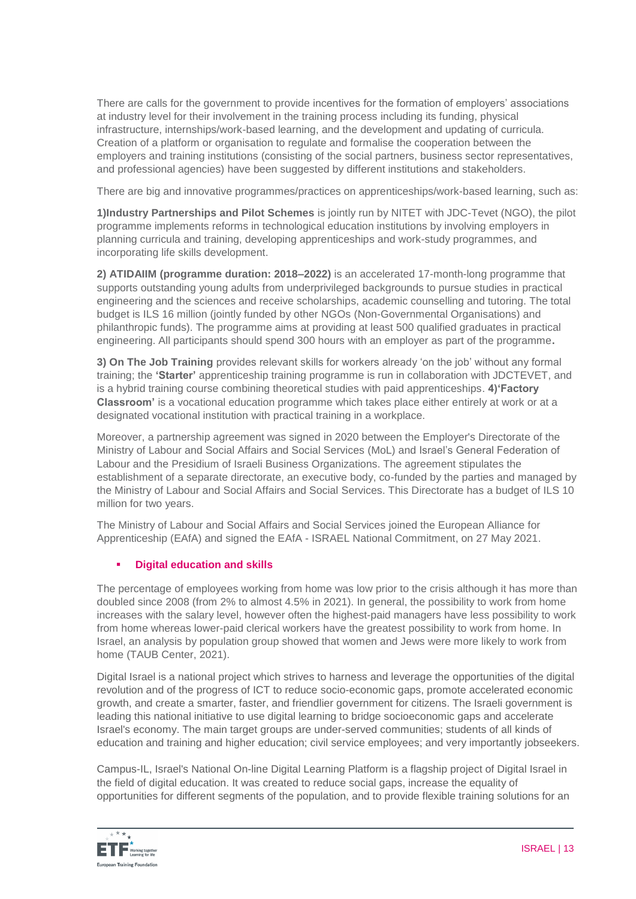There are calls for the government to provide incentives for the formation of employers' associations at industry level for their involvement in the training process including its funding, physical infrastructure, internships/work-based learning, and the development and updating of curricula. Creation of a platform or organisation to regulate and formalise the cooperation between the employers and training institutions (consisting of the social partners, business sector representatives, and professional agencies) have been suggested by different institutions and stakeholders.

There are big and innovative programmes/practices on apprenticeships/work-based learning, such as:

**1)Industry Partnerships and Pilot Schemes** is jointly run by NITET with JDC-Tevet (NGO), the pilot programme implements reforms in technological education institutions by involving employers in planning curricula and training, developing apprenticeships and work-study programmes, and incorporating life skills development.

**2) ATIDAIIM (programme duration: 2018–2022)** is an accelerated 17-month-long programme that supports outstanding young adults from underprivileged backgrounds to pursue studies in practical engineering and the sciences and receive scholarships, academic counselling and tutoring. The total budget is ILS 16 million (jointly funded by other NGOs (Non-Governmental Organisations) and philanthropic funds). The programme aims at providing at least 500 qualified graduates in practical engineering. All participants should spend 300 hours with an employer as part of the programme**.**

**3) On The Job Training** provides relevant skills for workers already 'on the job' without any formal training; the **'Starter'** apprenticeship training programme is run in collaboration with JDCTEVET, and is a hybrid training course combining theoretical studies with paid apprenticeships. **4)'Factory Classroom'** is a vocational education programme which takes place either entirely at work or at a designated vocational institution with practical training in a workplace.

Moreover, a partnership agreement was signed in 2020 between the Employer's Directorate of the Ministry of Labour and Social Affairs and Social Services (MoL) and Israel's General Federation of Labour and the Presidium of Israeli Business Organizations. The agreement stipulates the establishment of a separate directorate, an executive body, co-funded by the parties and managed by the Ministry of Labour and Social Affairs and Social Services. This Directorate has a budget of ILS 10 million for two years.

The Ministry of Labour and Social Affairs and Social Services joined the European Alliance for Apprenticeship (EAfA) and signed the EAfA - ISRAEL National Commitment, on 27 May 2021.

# **Digital education and skills**

The percentage of employees working from home was low prior to the crisis although it has more than doubled since 2008 (from 2% to almost 4.5% in 2021). In general, the possibility to work from home increases with the salary level, however often the highest-paid managers have less possibility to work from home whereas lower-paid clerical workers have the greatest possibility to work from home. In Israel, an analysis by population group showed that women and Jews were more likely to work from home (TAUB Center, 2021).

Digital Israel is a national project which strives to harness and leverage the opportunities of the digital revolution and of the progress of ICT to reduce socio-economic gaps, promote accelerated economic growth, and create a smarter, faster, and friendlier government for citizens. The Israeli government is leading this national initiative to use digital learning to bridge socioeconomic gaps and accelerate Israel's economy. The main target groups are under-served communities; students of all kinds of education and training and higher education; civil service employees; and very importantly jobseekers.

[Campus-IL, Israel's National On-line Digital Learning Platform](https://www.google.com/url?sa=t&rct=j&q=&esrc=s&source=web&cd=&cad=rja&uact=8&ved=2ahUKEwiDoLbkz430AhWF3KQKHf5ZA6UQFnoECAUQAQ&url=https%3A%2F%2Foecd-opsi.org%2Finnovations%2Fcampus-il-israels-national-on-line-digital-learning-platform%2F&usg=AOvVaw0fvdA8YG2j7fuuJUBJ9pFL) is a flagship project of Digital Israel in [the field of digital education. It was created to reduce social gaps, increase the equality of](https://www.google.com/url?sa=t&rct=j&q=&esrc=s&source=web&cd=&cad=rja&uact=8&ved=2ahUKEwiDoLbkz430AhWF3KQKHf5ZA6UQFnoECAUQAQ&url=https%3A%2F%2Foecd-opsi.org%2Finnovations%2Fcampus-il-israels-national-on-line-digital-learning-platform%2F&usg=AOvVaw0fvdA8YG2j7fuuJUBJ9pFL)  [opportunities for different segments of the population, and to provide flexible training solutions for an](https://www.google.com/url?sa=t&rct=j&q=&esrc=s&source=web&cd=&cad=rja&uact=8&ved=2ahUKEwiDoLbkz430AhWF3KQKHf5ZA6UQFnoECAUQAQ&url=https%3A%2F%2Foecd-opsi.org%2Finnovations%2Fcampus-il-israels-national-on-line-digital-learning-platform%2F&usg=AOvVaw0fvdA8YG2j7fuuJUBJ9pFL) 

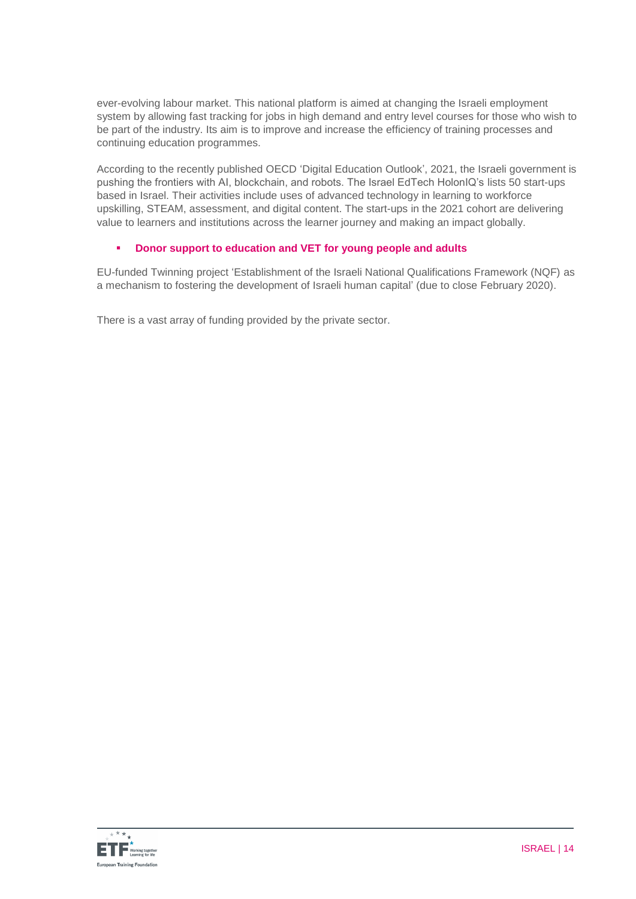[ever-evolving labour market. This national platform](https://www.google.com/url?sa=t&rct=j&q=&esrc=s&source=web&cd=&cad=rja&uact=8&ved=2ahUKEwiDoLbkz430AhWF3KQKHf5ZA6UQFnoECAUQAQ&url=https%3A%2F%2Foecd-opsi.org%2Finnovations%2Fcampus-il-israels-national-on-line-digital-learning-platform%2F&usg=AOvVaw0fvdA8YG2j7fuuJUBJ9pFL) is aimed at changing the Israeli employment system by allowing fast tracking for jobs in [high demand and entry level courses for those who wish to](https://www.google.com/url?sa=t&rct=j&q=&esrc=s&source=web&cd=&cad=rja&uact=8&ved=2ahUKEwiDoLbkz430AhWF3KQKHf5ZA6UQFnoECAUQAQ&url=https%3A%2F%2Foecd-opsi.org%2Finnovations%2Fcampus-il-israels-national-on-line-digital-learning-platform%2F&usg=AOvVaw0fvdA8YG2j7fuuJUBJ9pFL)  be part of the industry. Its aim is [to improve and increase the efficiency of training processes and](https://www.google.com/url?sa=t&rct=j&q=&esrc=s&source=web&cd=&cad=rja&uact=8&ved=2ahUKEwiDoLbkz430AhWF3KQKHf5ZA6UQFnoECAUQAQ&url=https%3A%2F%2Foecd-opsi.org%2Finnovations%2Fcampus-il-israels-national-on-line-digital-learning-platform%2F&usg=AOvVaw0fvdA8YG2j7fuuJUBJ9pFL)  [continuing education programmes.](https://www.google.com/url?sa=t&rct=j&q=&esrc=s&source=web&cd=&cad=rja&uact=8&ved=2ahUKEwiDoLbkz430AhWF3KQKHf5ZA6UQFnoECAUQAQ&url=https%3A%2F%2Foecd-opsi.org%2Finnovations%2Fcampus-il-israels-national-on-line-digital-learning-platform%2F&usg=AOvVaw0fvdA8YG2j7fuuJUBJ9pFL) 

[According to the recently published OECD 'Digital Education Outlook',](https://www.google.com/url?sa=t&rct=j&q=&esrc=s&source=web&cd=&cad=rja&uact=8&ved=2ahUKEwiDoLbkz430AhWF3KQKHf5ZA6UQFnoECAUQAQ&url=https%3A%2F%2Foecd-opsi.org%2Finnovations%2Fcampus-il-israels-national-on-line-digital-learning-platform%2F&usg=AOvVaw0fvdA8YG2j7fuuJUBJ9pFL) 2021, the Israeli government is [pushing the frontiers with AI, blockchain, and robots. The Israel EdTech HolonIQ's lists](https://www.google.com/url?sa=t&rct=j&q=&esrc=s&source=web&cd=&cad=rja&uact=8&ved=2ahUKEwiDoLbkz430AhWF3KQKHf5ZA6UQFnoECAUQAQ&url=https%3A%2F%2Foecd-opsi.org%2Finnovations%2Fcampus-il-israels-national-on-line-digital-learning-platform%2F&usg=AOvVaw0fvdA8YG2j7fuuJUBJ9pFL) 50 start-ups based in Israel. Their activities include [uses of advanced technology in learning to workforce](https://www.google.com/url?sa=t&rct=j&q=&esrc=s&source=web&cd=&cad=rja&uact=8&ved=2ahUKEwiDoLbkz430AhWF3KQKHf5ZA6UQFnoECAUQAQ&url=https%3A%2F%2Foecd-opsi.org%2Finnovations%2Fcampus-il-israels-national-on-line-digital-learning-platform%2F&usg=AOvVaw0fvdA8YG2j7fuuJUBJ9pFL)  [upskilling, STEAM, assessment, and digital content.](https://www.google.com/url?sa=t&rct=j&q=&esrc=s&source=web&cd=&cad=rja&uact=8&ved=2ahUKEwiDoLbkz430AhWF3KQKHf5ZA6UQFnoECAUQAQ&url=https%3A%2F%2Foecd-opsi.org%2Finnovations%2Fcampus-il-israels-national-on-line-digital-learning-platform%2F&usg=AOvVaw0fvdA8YG2j7fuuJUBJ9pFL) The start-ups in the 2021 cohort are delivering [value to learners and institutions across the learner journey and making an impact globally.](https://www.google.com/url?sa=t&rct=j&q=&esrc=s&source=web&cd=&cad=rja&uact=8&ved=2ahUKEwiDoLbkz430AhWF3KQKHf5ZA6UQFnoECAUQAQ&url=https%3A%2F%2Foecd-opsi.org%2Finnovations%2Fcampus-il-israels-national-on-line-digital-learning-platform%2F&usg=AOvVaw0fvdA8YG2j7fuuJUBJ9pFL)

### **Donor support to education and VET for young people and adults**

EU-funded Twinning project 'Establishment of the Israeli National Qualifications Framework (NQF) as a mechanism to fostering the development of Israeli human capital' (due to close February 2020).

There is a vast array of funding provided by the private sector.

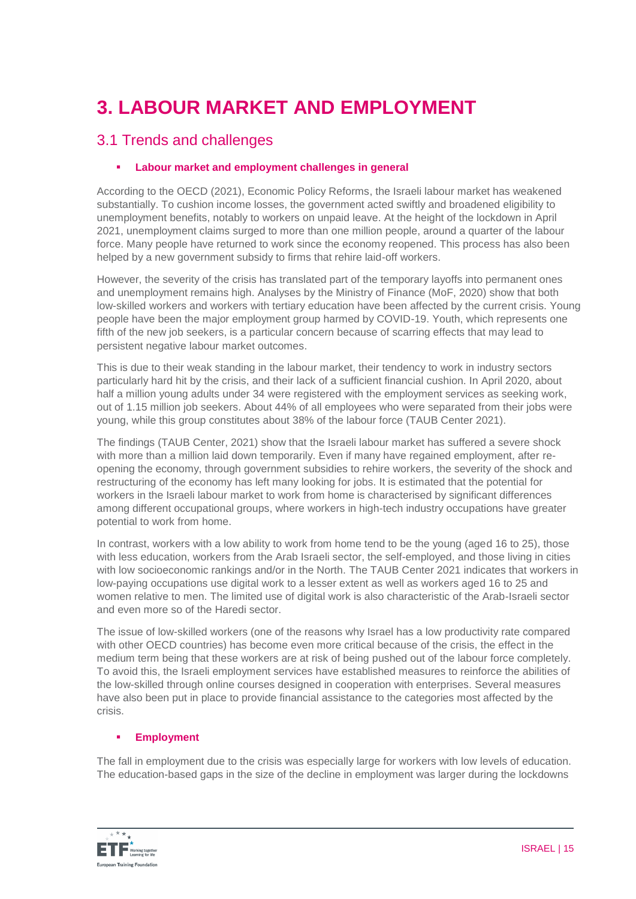# **3. LABOUR MARKET AND EMPLOYMENT**

# 3.1 Trends and challenges

# **Labour market and employment challenges in general**

According to the OECD (2021), Economic Policy Reforms, the Israeli labour market has weakened substantially. To cushion income losses, the government acted swiftly and broadened eligibility to unemployment benefits, notably to workers on unpaid leave. At the height of the lockdown in April 2021, unemployment claims surged to more than one million people, around a quarter of the labour force. Many people have returned to work since the economy reopened. This process has also been helped by a new government subsidy to firms that rehire laid-off workers.

However, the severity of the crisis has translated part of the temporary layoffs into permanent ones and unemployment remains high. Analyses by the Ministry of Finance (MoF, 2020) show that both low-skilled workers and workers with tertiary education have been affected by the current crisis. Young people have been the major employment group harmed by COVID-19. Youth, which represents one fifth of the new job seekers, is a particular concern because of scarring effects that may lead to persistent negative labour market outcomes.

This is due to their weak standing in the labour market, their tendency to work in industry sectors particularly hard hit by the crisis, and their lack of a sufficient financial cushion. In April 2020, about half a million young adults under 34 were registered with the employment services as seeking work, out of 1.15 million job seekers. About 44% of all employees who were separated from their jobs were young, while this group constitutes about 38% of the labour force (TAUB Center 2021).

The findings (TAUB Center, 2021) show that the Israeli labour market has suffered a severe shock with more than a million laid down temporarily. Even if many have regained employment, after reopening the economy, through government subsidies to rehire workers, the severity of the shock and restructuring of the economy has left many looking for jobs. It is estimated that the potential for workers in the Israeli labour market to work from home is characterised by significant differences among different occupational groups, where workers in high-tech industry occupations have greater potential to work from home.

In contrast, workers with a low ability to work from home tend to be the young (aged 16 to 25), those with less education, workers from the Arab Israeli sector, the self-employed, and those living in cities with low socioeconomic rankings and/or in the North. The TAUB Center 2021 indicates that workers in low-paying occupations use digital work to a lesser extent as well as workers aged 16 to 25 and women relative to men. The limited use of digital work is also characteristic of the Arab-Israeli sector and even more so of the Haredi sector.

The issue of low-skilled workers (one of the reasons why Israel has a low productivity rate compared with other OECD countries) has become even more critical because of the crisis, the effect in the medium term being that these workers are at risk of being pushed out of the labour force completely. To avoid this, the Israeli employment services have established measures to reinforce the abilities of the low-skilled through online courses designed in cooperation with enterprises. Several measures have also been put in place to provide financial assistance to the categories most affected by the crisis.

### **Employment**

The fall in employment due to the crisis was especially large for workers with low levels of education. The education-based gaps in the size of the decline in employment was larger during the lockdowns

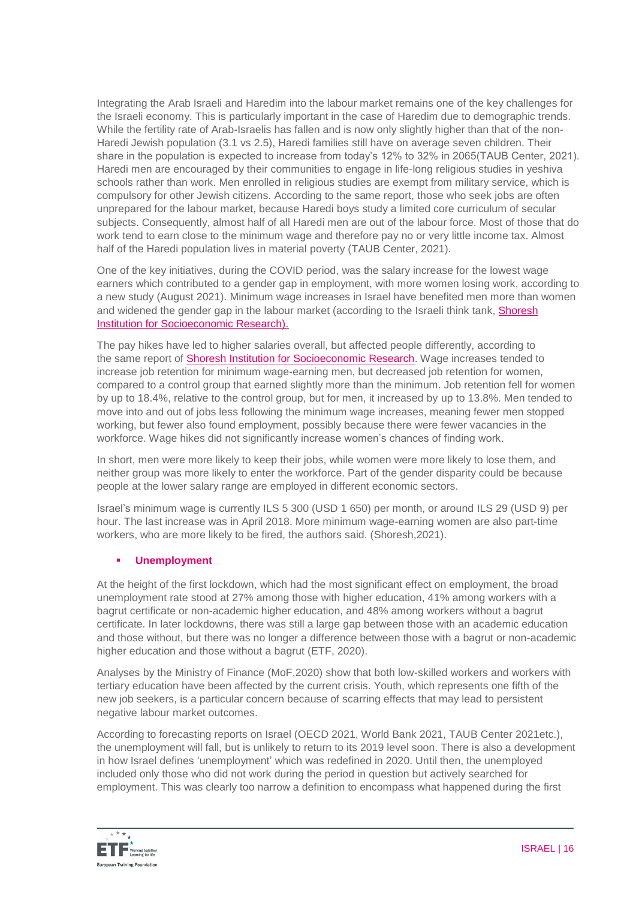Integrating the Arab Israeli and Haredim into the labour market remains one of the key challenges for the Israeli economy. This is particularly important in the case of Haredim due to demographic trends. While the fertility rate of Arab-Israelis has fallen and is now only slightly higher than that of the non-Haredi Jewish population (3.1 vs 2.5), Haredi families still have on average seven children. Their share in the population is expected to increase from today's 12% to 32% in 2065(TAUB Center, 2021). Haredi men are encouraged by their communities to engage in life-long religious studies in yeshiva schools rather than work. Men enrolled in religious studies are exempt from military service, which is compulsory for other Jewish citizens. According to the same report, those who seek jobs are often unprepared for the labour market, because Haredi boys study a limited core curriculum of secular subjects. Consequently, almost half of all Haredi men are out of the labour force. Most of those that do work tend to earn close to the minimum wage and therefore pay no or very little income tax. Almost half of the Haredi population lives in material poverty (TAUB Center, 2021).

One of the key initiatives, during the COVID period, was the salary increase for the lowest wage earners which contributed to a gender gap in employment, with more women losing work, according to a new study (August 2021). Minimum wage increases in Israel have benefited men more than women and widened the gender gap in the labour market (according to the Israeli think tank, Shoresh [Institution for Socioeconomic Research\)](https://shoresh.institute/archive.php?src=shoresh.institute&f=policy-brief-eng-minwage.pdf).

The pay hikes have led to higher salaries overall, but affected people differently, according to the same report of **Shoresh Institution for Socioeconomic Research**. Wage increases tended to increase job retention for minimum wage-earning men, but decreased job retention for women, compared to a control group that earned slightly more than the minimum. Job retention fell for women by up to 18.4%, relative to the control group, but for men, it increased by up to 13.8%. Men tended to move into and out of jobs less following the minimum wage increases, meaning fewer men stopped working, but fewer also found employment, possibly because there were fewer vacancies in the workforce. Wage hikes did not significantly increase women's chances of finding work.

In short, men were more likely to keep their jobs, while women were more likely to lose them, and neither group was more likely to enter the workforce. Part of the gender disparity could be because people at the lower salary range are employed in different economic sectors.

Israel's minimum wage is currently ILS 5 300 (USD 1 650) per month, or around ILS 29 (USD 9) per hour. The last increase was in April 2018. More minimum wage-earning women are also part-time workers, who are more likely to be fired, the authors said. (Shoresh,2021).

# **Unemployment**

At the height of the first lockdown, which had the most significant effect on employment, the broad unemployment rate stood at 27% among those with higher education, 41% among workers with a bagrut certificate or non-academic higher education, and 48% among workers without a bagrut certificate. In later lockdowns, there was still a large gap between those with an academic education and those without, but there was no longer a difference between those with a bagrut or non-academic higher education and those without a bagrut (ETF, 2020).

Analyses by the Ministry of Finance (MoF,2020) show that both low-skilled workers and workers with tertiary education have been affected by the current crisis. Youth, which represents one fifth of the new job seekers, is a particular concern because of scarring effects that may lead to persistent negative labour market outcomes.

According to forecasting reports on Israel (OECD 2021, World Bank 2021, TAUB Center 2021etc.), the unemployment will fall, but is unlikely to return to its 2019 level soon. There is also a development in how Israel defines 'unemployment' which was redefined in 2020. Until then, the unemployed included only those who did not work during the period in question but actively searched for employment. This was clearly too narrow a definition to encompass what happened during the first

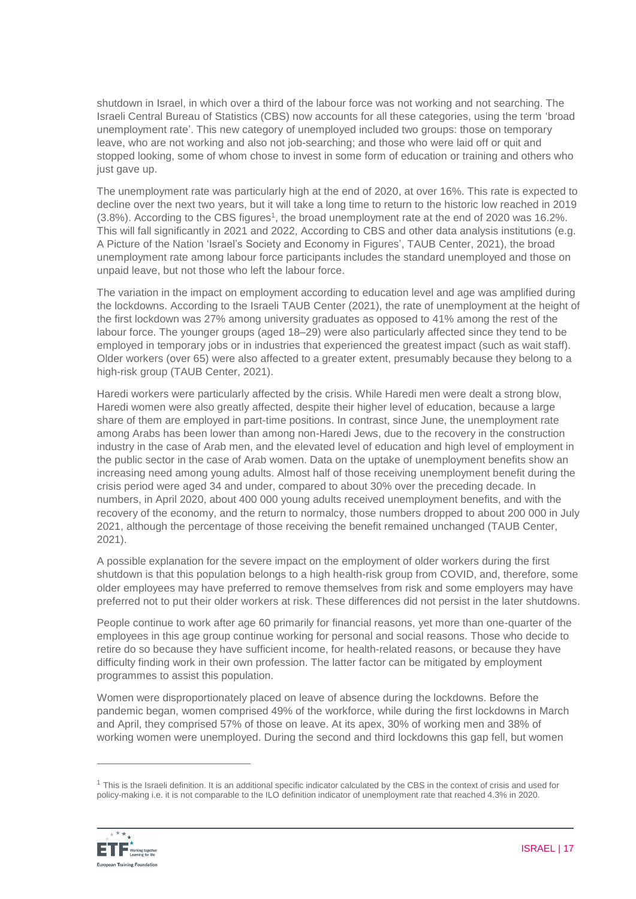shutdown in Israel, in which over a third of the labour force was not working and not searching. The Israeli Central Bureau of Statistics (CBS) now accounts for all these categories, using the term 'broad unemployment rate'. This new category of unemployed included two groups: those on temporary leave, who are not working and also not job-searching; and those who were laid off or quit and stopped looking, some of whom chose to invest in some form of education or training and others who just gave up.

The unemployment rate was particularly high at the end of 2020, at over 16%. This rate is expected to decline over the next two years, but it will take a long time to return to the historic low reached in 2019 (3.8%). According to the CBS figures<sup>1</sup>, the broad unemployment rate at the end of 2020 was 16.2%. This will fall significantly in 2021 and 2022, According to CBS and other data analysis institutions (e.g. A Picture of the Nation 'Israel's Society and Economy in Figures', TAUB Center, 2021), the broad unemployment rate among labour force participants includes the standard unemployed and those on unpaid leave, but not those who left the labour force.

The variation in the impact on employment according to education level and age was amplified during the lockdowns. According to the Israeli TAUB Center (2021), the rate of unemployment at the height of the first lockdown was 27% among university graduates as opposed to 41% among the rest of the labour force. The younger groups (aged 18–29) were also particularly affected since they tend to be employed in temporary jobs or in industries that experienced the greatest impact (such as wait staff). Older workers (over 65) were also affected to a greater extent, presumably because they belong to a high-risk group (TAUB Center, 2021).

Haredi workers were particularly affected by the crisis. While Haredi men were dealt a strong blow, Haredi women were also greatly affected, despite their higher level of education, because a large share of them are employed in part-time positions. In contrast, since June, the unemployment rate among Arabs has been lower than among non-Haredi Jews, due to the recovery in the construction industry in the case of Arab men, and the elevated level of education and high level of employment in the public sector in the case of Arab women. Data on the uptake of unemployment benefits show an increasing need among young adults. Almost half of those receiving unemployment benefit during the crisis period were aged 34 and under, compared to about 30% over the preceding decade. In numbers, in April 2020, about 400 000 young adults received unemployment benefits, and with the recovery of the economy, and the return to normalcy, those numbers dropped to about 200 000 in July 2021, although the percentage of those receiving the benefit remained unchanged (TAUB Center, 2021).

A possible explanation for the severe impact on the employment of older workers during the first shutdown is that this population belongs to a high health-risk group from COVID, and, therefore, some older employees may have preferred to remove themselves from risk and some employers may have preferred not to put their older workers at risk. These differences did not persist in the later shutdowns.

People continue to work after age 60 primarily for financial reasons, yet more than one-quarter of the employees in this age group continue working for personal and social reasons. Those who decide to retire do so because they have sufficient income, for health-related reasons, or because they have difficulty finding work in their own profession. The latter factor can be mitigated by employment programmes to assist this population.

Women were disproportionately placed on leave of absence during the lockdowns. Before the pandemic began, women comprised 49% of the workforce, while during the first lockdowns in March and April, they comprised 57% of those on leave. At its apex, 30% of working men and 38% of working women were unemployed. During the second and third lockdowns this gap fell, but women

 $1$  This is the Israeli definition. It is an additional specific indicator calculated by the CBS in the context of crisis and used for policy-making i.e. it is not comparable to the ILO definition indicator of unemployment rate that reached 4.3% in 2020.



 $\overline{a}$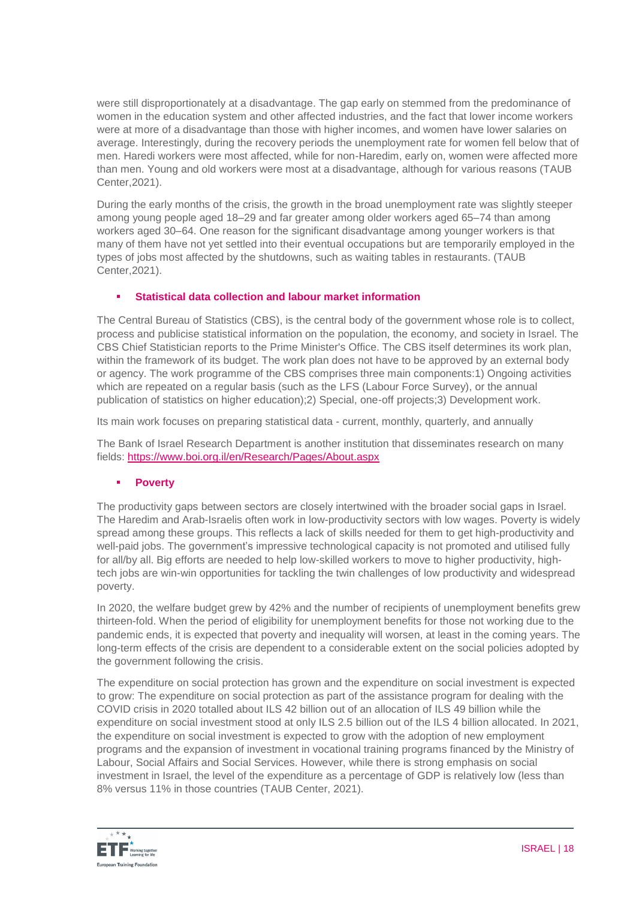were still disproportionately at a disadvantage. The gap early on stemmed from the predominance of women in the education system and other affected industries, and the fact that lower income workers were at more of a disadvantage than those with higher incomes, and women have lower salaries on average. Interestingly, during the recovery periods the unemployment rate for women fell below that of men. Haredi workers were most affected, while for non-Haredim, early on, women were affected more than men. Young and old workers were most at a disadvantage, although for various reasons (TAUB Center,2021).

During the early months of the crisis, the growth in the broad unemployment rate was slightly steeper among young people aged 18–29 and far greater among older workers aged 65–74 than among workers aged 30–64. One reason for the significant disadvantage among younger workers is that many of them have not yet settled into their eventual occupations but are temporarily employed in the types of jobs most affected by the shutdowns, such as waiting tables in restaurants. (TAUB Center,2021).

### **Statistical data collection and labour market information**

The Central Bureau of Statistics (CBS), is the central body of the government whose role is to collect, process and publicise statistical information on the population, the economy, and society in Israel. The CBS Chief Statistician reports to the Prime Minister's Office. The CBS itself determines its work plan, within the framework of its budget. The work plan does not have to be approved by an external body or agency. The work programme of the CBS comprises three main components:1) Ongoing activities which are repeated on a regular basis (such as the LFS (Labour Force Survey), or the annual publication of statistics on higher education);2) Special, one-off projects;3) Development work.

Its main work focuses on preparing statistical data - current, monthly, quarterly, and annually

The Bank of Israel Research Department is another institution that disseminates research on many fields:<https://www.boi.org.il/en/Research/Pages/About.aspx>

### **Poverty**

The productivity gaps between sectors are closely intertwined with the broader social gaps in Israel. The Haredim and Arab-Israelis often work in low-productivity sectors with low wages. Poverty is widely spread among these groups. This reflects a lack of skills needed for them to get high-productivity and well-paid jobs. The government's impressive technological capacity is not promoted and utilised fully for all/by all. Big efforts are needed to help low-skilled workers to move to higher productivity, hightech jobs are win-win opportunities for tackling the twin challenges of low productivity and widespread poverty.

In 2020, the welfare budget grew by 42% and the number of recipients of unemployment benefits grew thirteen-fold. When the period of eligibility for unemployment benefits for those not working due to the pandemic ends, it is expected that poverty and inequality will worsen, at least in the coming years. The long-term effects of the crisis are dependent to a considerable extent on the social policies adopted by the government following the crisis.

The expenditure on social protection has grown and the expenditure on social investment is expected to grow: The expenditure on social protection as part of the assistance program for dealing with the COVID crisis in 2020 totalled about ILS 42 billion out of an allocation of ILS 49 billion while the expenditure on social investment stood at only ILS 2.5 billion out of the ILS 4 billion allocated. In 2021, the expenditure on social investment is expected to grow with the adoption of new employment programs and the expansion of investment in vocational training programs financed by the Ministry of Labour, Social Affairs and Social Services. However, while there is strong emphasis on social investment in Israel, the level of the expenditure as a percentage of GDP is relatively low (less than 8% versus 11% in those countries (TAUB Center, 2021).

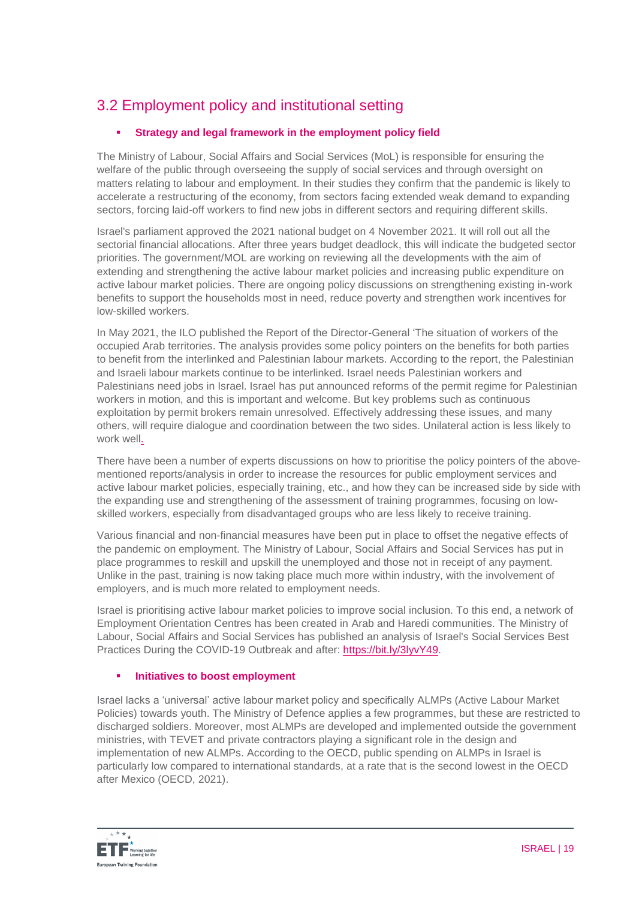# 3.2 Employment policy and institutional setting

# **Strategy and legal framework in the employment policy field**

The Ministry of Labour, Social Affairs and Social Services (MoL) is responsible for ensuring the welfare of the public through overseeing the supply of social services and through oversight on matters relating to labour and employment. In their studies they confirm that the pandemic is likely to accelerate a restructuring of the economy, from sectors facing extended weak demand to expanding sectors, forcing laid-off workers to find new jobs in different sectors and requiring different skills.

Israel's parliament approved the 2021 national budget on 4 November 2021. It will roll out all the sectorial financial allocations. After three years budget deadlock, this will indicate the budgeted sector priorities. The government/MOL are working on reviewing all the developments with the aim of extending and strengthening the active labour market policies and increasing public expenditure on active labour market policies. There are ongoing policy discussions on strengthening existing in-work benefits to support the households most in need, reduce poverty and strengthen work incentives for low-skilled workers.

In May 2021, the ILO published the Report of the Director-General 'The situation of workers of the occupied Arab territories. The analysis provides some policy pointers on the benefits for both parties to benefit from the interlinked and Palestinian labour markets. According to the report, the Palestinian and Israeli labour markets continue to be interlinked. Israel needs Palestinian workers and Palestinians need jobs in Israel. Israel has put announced reforms of the permit regime for Palestinian workers in motion, and this is important and welcome. But key problems such as continuous exploitation by permit brokers remain unresolved. Effectively addressing these issues, and many others, will require dialogue and coordination between the two sides. Unilateral action is less likely to work well.

There have been a number of experts discussions on how to prioritise the policy pointers of the abovementioned reports/analysis in order to increase the resources for public employment services and active labour market policies, especially training, etc., and how they can be increased side by side with the expanding use and strengthening of the assessment of training programmes, focusing on lowskilled workers, especially from disadvantaged groups who are less likely to receive training.

Various financial and non-financial measures have been put in place to offset the negative effects of the pandemic on employment. The Ministry of Labour, Social Affairs and Social Services has put in place programmes to reskill and upskill the unemployed and those not in receipt of any payment. Unlike in the past, training is now taking place much more within industry, with the involvement of employers, and is much more related to employment needs.

Israel is prioritising active labour market policies to improve social inclusion. To this end, a network of Employment Orientation Centres has been created in Arab and Haredi communities. The Ministry of Labour, Social Affairs and Social Services has published an analysis of Israel's Social Services Best Practices During the COVID-19 Outbreak and after: [https://bit.ly/3lyvY49.](https://bit.ly/3lyvY49)

# **Initiatives to boost employment**

Israel lacks a 'universal' active labour market policy and specifically ALMPs (Active Labour Market Policies) towards youth. The Ministry of Defence applies a few programmes, but these are restricted to discharged soldiers. Moreover, most ALMPs are developed and implemented outside the government ministries, with TEVET and private contractors playing a significant role in the design and implementation of new ALMPs. According to the OECD, public spending on ALMPs in Israel is particularly low compared to international standards, at a rate that is the second lowest in the OECD after Mexico (OECD, 2021).

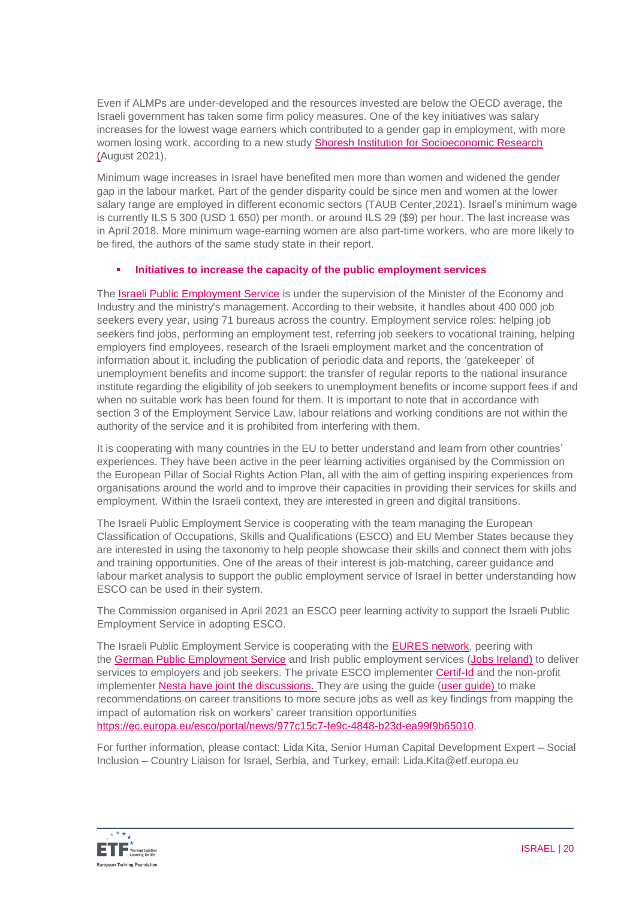Even if ALMPs are under-developed and the resources invested are below the OECD average, the Israeli government has taken some firm policy measures. One of the key initiatives was salary increases for the lowest wage earners which contributed to a gender gap in employment, with more women losing work, according to a new stud[y Shoresh Institution for Socioeconomic Research](https://shoresh.institute/archive.php?src=shoresh.institute&f=policy-brief-eng-minwage.pdf) (August 2021).

Minimum wage increases in Israel have benefited men more than women and widened the gender gap in the labour market. Part of the gender disparity could be since men and women at the lower salary range are employed in different economic sectors (TAUB Center,2021). Israel's minimum wage is currently ILS 5 300 (USD 1 650) per month, or around ILS 29 (\$9) per hour. The last increase was in April 2018. More minimum wage-earning women are also part-time workers, who are more likely to be fired, the authors of the same study state in their report.

### **Initiatives to increase the capacity of the public employment services**

The [Israeli Public Employment Service](https://www.taasuka.gov.il/he) is under the supervision of the Minister of the Economy and Industry and the ministry's management. According to their website, it handles about 400 000 job seekers every year, using 71 bureaus across the country. Employment service roles: helping job seekers find jobs, performing an employment test, referring job seekers to vocational training, helping employers find employees, research of the Israeli employment market and the concentration of information about it, including the publication of periodic data and reports, the 'gatekeeper' of unemployment benefits and income support: the transfer of regular reports to the national insurance institute regarding the eligibility of job seekers to unemployment benefits or income support fees if and when no suitable work has been found for them. It is important to note that in accordance with section 3 of the Employment Service Law, labour relations and working conditions are not within the authority of the service and it is prohibited from interfering with them.

It is cooperating with many countries in the EU to better understand and learn from other countries' experiences. They have been active in the peer learning activities organised by the Commission on the European Pillar of Social Rights Action Plan, all with the aim of getting inspiring experiences from organisations around the world and to improve their capacities in providing their services for skills and employment. Within the Israeli context, they are interested in green and digital transitions.

The Israeli Public Employment Service is cooperating with the team managing the European Classification of Occupations, Skills and Qualifications (ESCO) and EU Member States because they are interested in using the taxonomy to help people showcase their skills and connect them with jobs and training opportunities. One of the areas of their interest is job-matching, career guidance and labour market analysis to support the public employment service of Israel in better understanding how ESCO can be used in their system.

The Commission organised in April 2021 an ESCO peer learning activity to support the Israeli Public Employment Service in adopting ESCO.

The Israeli Public Employment Service is cooperating with the [EURES network,](https://ec.europa.eu/eures/public/homepage) peering with the [German Public Employment Service](https://www.arbeitsagentur.de/en/welcome) and Irish public employment services (Jobs [Ireland\)](https://jobsireland.ie/) to deliver services to employers and job seekers. The private ESCO implementer [Certif-Id](https://certif-id.com/) and the non-profit implementer [Nesta](https://www.nesta.org.uk/) have joint the discussions. They are using the quide (user quide) to make recommendations on career transitions to more secure jobs as well as key findings from mapping the impact of automation risk on workers' career transition opportunities [https://ec.europa.eu/esco/portal/news/977c15c7-fe9c-4848-b23d-ea99f9b65010.](https://ec.europa.eu/esco/portal/news/977c15c7-fe9c-4848-b23d-ea99f9b65010)

For further information, please contact: Lida Kita, Senior Human Capital Development Expert – Social Inclusion – Country Liaison for Israel, Serbia, and Turkey, email: [Lida.Kita@etf.europa.eu](mailto:Lida.Kita@etf.europa.eu)

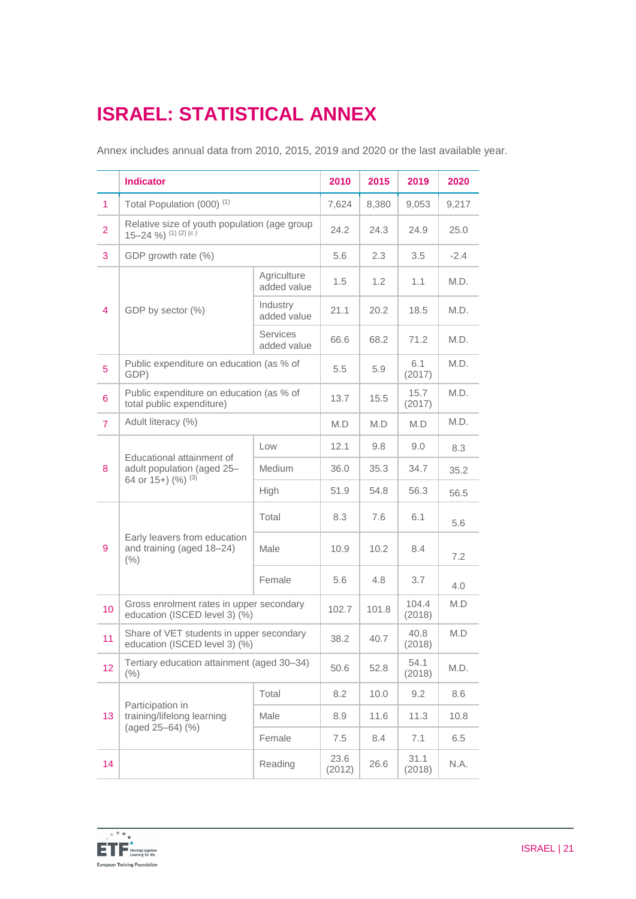# **ISRAEL: STATISTICAL ANNEX**

Annex includes annual data from 2010, 2015, 2019 and 2020 or the last available year.

|                  | <b>Indicator</b>                                                              |                                | 2010           | 2015  | 2019            | 2020   |
|------------------|-------------------------------------------------------------------------------|--------------------------------|----------------|-------|-----------------|--------|
| $\mathbf{1}$     | Total Population (000) <sup>(1)</sup>                                         |                                | 7,624          | 8,380 | 9,053           | 9,217  |
| $\overline{2}$   | Relative size of youth population (age group<br>$15-24$ %) $(1)(2)(c)$        |                                | 24.2           | 24.3  | 24.9            | 25.0   |
| 3                | GDP growth rate (%)                                                           |                                | 5.6            | 2.3   | 3.5             | $-2.4$ |
|                  | GDP by sector (%)                                                             | Agriculture<br>added value     | 1.5            | 1.2   | 1.1             | M.D.   |
| $\overline{4}$   |                                                                               | Industry<br>added value        | 21.1           | 20.2  | 18.5            | M.D.   |
|                  |                                                                               | <b>Services</b><br>added value | 66.6           | 68.2  | 71.2            | M.D.   |
| 5                | Public expenditure on education (as % of<br>GDP)                              |                                | 5.5            | 5.9   | 6.1<br>(2017)   | M.D.   |
| $\boldsymbol{6}$ | Public expenditure on education (as % of<br>total public expenditure)         |                                | 13.7           | 15.5  | 15.7<br>(2017)  | M.D.   |
| $\overline{7}$   | Adult literacy (%)                                                            |                                | M.D            | M.D   | M.D             | M.D.   |
|                  | Educational attainment of<br>adult population (aged 25-<br>64 or 15+) (%) (3) | Low                            | 12.1           | 9.8   | 9.0             | 8.3    |
| 8                |                                                                               | Medium                         | 36.0           | 35.3  | 34.7            | 35.2   |
|                  |                                                                               | High                           | 51.9           | 54.8  | 56.3            | 56.5   |
|                  | Early leavers from education<br>and training (aged 18-24)<br>(% )             | Total                          | 8.3            | 7.6   | 6.1             | 5.6    |
| 9                |                                                                               | Male                           | 10.9           | 10.2  | 8.4             | 7.2    |
|                  |                                                                               | Female                         | 5.6            | 4.8   | 3.7             | 4.0    |
| 10               | Gross enrolment rates in upper secondary<br>education (ISCED level 3) (%)     |                                | 102.7          | 101.8 | 104.4<br>(2018) | M.D    |
| 11               | Share of VET students in upper secondary<br>education (ISCED level 3) (%)     |                                | 38.2           | 40.7  | 40.8<br>(2018)  | M.D    |
| 12               | Tertiary education attainment (aged 30-34)<br>(% )                            |                                | 50.6           | 52.8  | 54.1<br>(2018)  | M.D.   |
| 13               | Participation in<br>training/lifelong learning<br>(aged 25-64) (%)            | Total                          | 8.2            | 10.0  | 9.2             | 8.6    |
|                  |                                                                               | Male                           | 8.9            | 11.6  | 11.3            | 10.8   |
|                  |                                                                               | Female                         | 7.5            | 8.4   | 7.1             | 6.5    |
| 14               |                                                                               | Reading                        | 23.6<br>(2012) | 26.6  | 31.1<br>(2018)  | N.A.   |

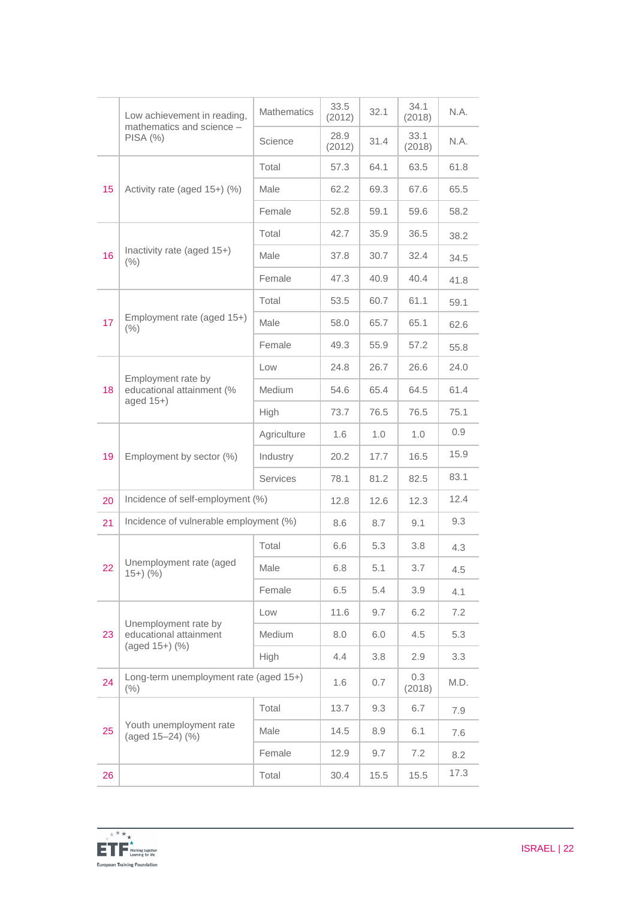|    | Low achievement in reading,<br>mathematics and science -        | <b>Mathematics</b> | 33.5<br>(2012) | 32.1 | 34.1<br>(2018) | N.A. |
|----|-----------------------------------------------------------------|--------------------|----------------|------|----------------|------|
|    | PISA(%)                                                         | Science            | 28.9<br>(2012) | 31.4 | 33.1<br>(2018) | N.A. |
|    |                                                                 | Total              | 57.3           | 64.1 | 63.5           | 61.8 |
| 15 | Activity rate (aged 15+) (%)                                    | Male               | 62.2           | 69.3 | 67.6           | 65.5 |
|    |                                                                 | Female             | 52.8           | 59.1 | 59.6           | 58.2 |
|    |                                                                 | Total              | 42.7           | 35.9 | 36.5           | 38.2 |
| 16 | Inactivity rate (aged 15+)<br>$(\% )$                           | Male               | 37.8           | 30.7 | 32.4           | 34.5 |
|    |                                                                 | Female             | 47.3           | 40.9 | 40.4           | 41.8 |
|    |                                                                 | Total              | 53.5           | 60.7 | 61.1           | 59.1 |
| 17 | Employment rate (aged 15+)<br>(% )                              | Male               | 58.0           | 65.7 | 65.1           | 62.6 |
|    |                                                                 | Female             | 49.3           | 55.9 | 57.2           | 55.8 |
|    |                                                                 | Low                | 24.8           | 26.7 | 26.6           | 24.0 |
| 18 | Employment rate by<br>educational attainment (%<br>aged $15+$ ) | Medium             | 54.6           | 65.4 | 64.5           | 61.4 |
|    |                                                                 | High               | 73.7           | 76.5 | 76.5           | 75.1 |
|    | Employment by sector (%)                                        | Agriculture        | 1.6            | 1.0  | 1.0            | 0.9  |
| 19 |                                                                 | Industry           | 20.2           | 17.7 | 16.5           | 15.9 |
|    |                                                                 | <b>Services</b>    | 78.1           | 81.2 | 82.5           | 83.1 |
| 20 | Incidence of self-employment (%)                                |                    | 12.8           | 12.6 | 12.3           | 12.4 |
| 21 | Incidence of vulnerable employment (%)                          |                    | 8.6            | 8.7  | 9.1            | 9.3  |
|    |                                                                 | Total              | 6.6            | 5.3  | 3.8            | 4.3  |
| 22 | Unemployment rate (aged<br>$(15+)$ $(%$ )                       | Male               | 6.8            | 5.1  | 3.7            | 4.5  |
|    |                                                                 | Female             | 6.5            | 5.4  | 3.9            | 4.1  |
|    | Unemployment rate by                                            | Low                | 11.6           | 9.7  | 6.2            | 7.2  |
| 23 | educational attainment<br>(aged 15+) (%)                        | Medium             | 8.0            | 6.0  | 4.5            | 5.3  |
|    |                                                                 | High               | 4.4            | 3.8  | 2.9            | 3.3  |
| 24 | Long-term unemployment rate (aged 15+)<br>$(\% )$               |                    | 1.6            | 0.7  | 0.3<br>(2018)  | M.D. |
|    | Youth unemployment rate<br>(aged 15-24) (%)                     | Total              | 13.7           | 9.3  | 6.7            | 7.9  |
| 25 |                                                                 | Male               | 14.5           | 8.9  | 6.1            | 7.6  |
|    |                                                                 | Female             | 12.9           | 9.7  | 7.2            | 8.2  |
| 26 |                                                                 | Total              | 30.4           | 15.5 | 15.5           | 17.3 |

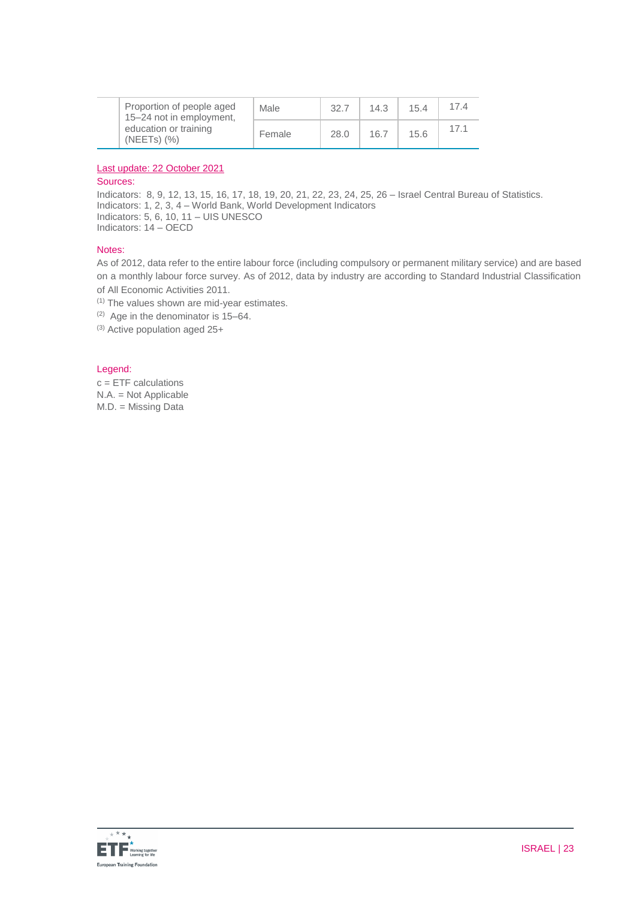|  | Proportion of people aged<br>15-24 not in employment,<br>education or training<br>$(NEETS)$ $(\%)$ | Male   | 32.7 | 14.3 | 15.4 | 17.4 |
|--|----------------------------------------------------------------------------------------------------|--------|------|------|------|------|
|  |                                                                                                    | Female | 28.0 | 16.7 | 15.6 | 17.1 |

#### Last update: 22 October 2021

#### Sources:

Indicators: 8, 9, 12, 13, 15, 16, 17, 18, 19, 20, 21, 22, 23, 24, 25, 26 – Israel Central Bureau of Statistics. Indicators: 1, 2, 3, 4 – World Bank, World Development Indicators Indicators: 5, 6, 10, 11 – UIS UNESCO Indicators: 14 – OECD

#### Notes:

As of 2012, data refer to the entire labour force (including compulsory or permanent military service) and are based on a monthly labour force survey. As of 2012, data by industry are according to Standard Industrial Classification of All Economic Activities 2011.

(1) The values shown are mid-year estimates.

(2) Age in the denominator is 15–64.

(3) Active population aged 25+

#### Legend:

c = ETF calculations N.A. = Not Applicable M.D. = Missing Data

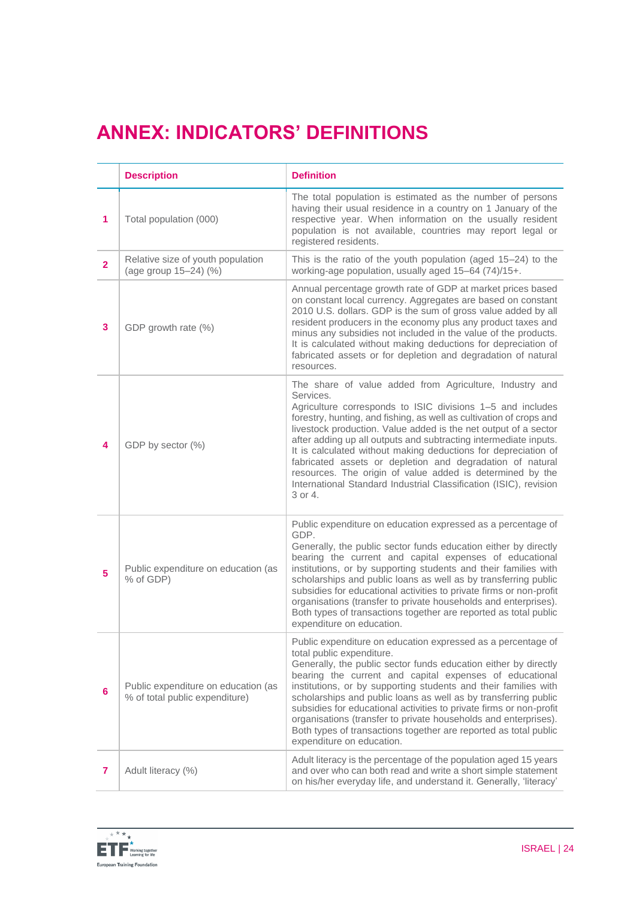# **ANNEX: INDICATORS' DEFINITIONS**

|                | <b>Description</b>                                                    | <b>Definition</b>                                                                                                                                                                                                                                                                                                                                                                                                                                                                                                                                                                                                            |
|----------------|-----------------------------------------------------------------------|------------------------------------------------------------------------------------------------------------------------------------------------------------------------------------------------------------------------------------------------------------------------------------------------------------------------------------------------------------------------------------------------------------------------------------------------------------------------------------------------------------------------------------------------------------------------------------------------------------------------------|
| 1              | Total population (000)                                                | The total population is estimated as the number of persons<br>having their usual residence in a country on 1 January of the<br>respective year. When information on the usually resident<br>population is not available, countries may report legal or<br>registered residents.                                                                                                                                                                                                                                                                                                                                              |
| $\overline{2}$ | Relative size of youth population<br>(age group 15-24) (%)            | This is the ratio of the youth population (aged 15-24) to the<br>working-age population, usually aged 15-64 (74)/15+.                                                                                                                                                                                                                                                                                                                                                                                                                                                                                                        |
| 3              | GDP growth rate (%)                                                   | Annual percentage growth rate of GDP at market prices based<br>on constant local currency. Aggregates are based on constant<br>2010 U.S. dollars. GDP is the sum of gross value added by all<br>resident producers in the economy plus any product taxes and<br>minus any subsidies not included in the value of the products.<br>It is calculated without making deductions for depreciation of<br>fabricated assets or for depletion and degradation of natural<br>resources.                                                                                                                                              |
| 4              | GDP by sector (%)                                                     | The share of value added from Agriculture, Industry and<br>Services.<br>Agriculture corresponds to ISIC divisions 1-5 and includes<br>forestry, hunting, and fishing, as well as cultivation of crops and<br>livestock production. Value added is the net output of a sector<br>after adding up all outputs and subtracting intermediate inputs.<br>It is calculated without making deductions for depreciation of<br>fabricated assets or depletion and degradation of natural<br>resources. The origin of value added is determined by the<br>International Standard Industrial Classification (ISIC), revision<br>3 or 4. |
| 5.             | Public expenditure on education (as<br>% of GDP)                      | Public expenditure on education expressed as a percentage of<br>GDP.<br>Generally, the public sector funds education either by directly<br>bearing the current and capital expenses of educational<br>institutions, or by supporting students and their families with<br>scholarships and public loans as well as by transferring public<br>subsidies for educational activities to private firms or non-profit<br>organisations (transfer to private households and enterprises).<br>Both types of transactions together are reported as total public<br>expenditure on education.                                          |
| 6              | Public expenditure on education (as<br>% of total public expenditure) | Public expenditure on education expressed as a percentage of<br>total public expenditure.<br>Generally, the public sector funds education either by directly<br>bearing the current and capital expenses of educational<br>institutions, or by supporting students and their families with<br>scholarships and public loans as well as by transferring public<br>subsidies for educational activities to private firms or non-profit<br>organisations (transfer to private households and enterprises).<br>Both types of transactions together are reported as total public<br>expenditure on education.                     |
| 7              | Adult literacy (%)                                                    | Adult literacy is the percentage of the population aged 15 years<br>and over who can both read and write a short simple statement<br>on his/her everyday life, and understand it. Generally, 'literacy'                                                                                                                                                                                                                                                                                                                                                                                                                      |

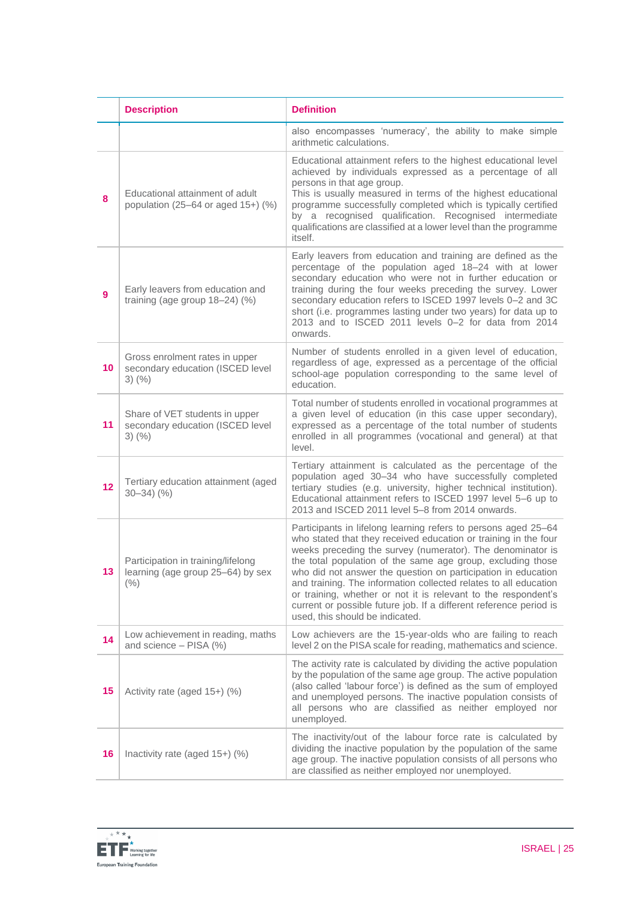|              | <b>Description</b>                                                                          | <b>Definition</b>                                                                                                                                                                                                                                                                                                                                                                                                                                                                                                                                                              |
|--------------|---------------------------------------------------------------------------------------------|--------------------------------------------------------------------------------------------------------------------------------------------------------------------------------------------------------------------------------------------------------------------------------------------------------------------------------------------------------------------------------------------------------------------------------------------------------------------------------------------------------------------------------------------------------------------------------|
|              |                                                                                             | also encompasses 'numeracy', the ability to make simple<br>arithmetic calculations.                                                                                                                                                                                                                                                                                                                                                                                                                                                                                            |
| 8            | Educational attainment of adult<br>population (25-64 or aged $15+)$ (%)                     | Educational attainment refers to the highest educational level<br>achieved by individuals expressed as a percentage of all<br>persons in that age group.<br>This is usually measured in terms of the highest educational<br>programme successfully completed which is typically certified<br>by a recognised qualification. Recognised intermediate<br>qualifications are classified at a lower level than the programme<br>itself.                                                                                                                                            |
| $\mathbf{9}$ | Early leavers from education and<br>training (age group $18-24$ ) (%)                       | Early leavers from education and training are defined as the<br>percentage of the population aged 18-24 with at lower<br>secondary education who were not in further education or<br>training during the four weeks preceding the survey. Lower<br>secondary education refers to ISCED 1997 levels 0-2 and 3C<br>short (i.e. programmes lasting under two years) for data up to<br>2013 and to ISCED 2011 levels 0-2 for data from 2014<br>onwards.                                                                                                                            |
| 10           | Gross enrolment rates in upper<br>secondary education (ISCED level<br>$3)$ $(\% )$          | Number of students enrolled in a given level of education,<br>regardless of age, expressed as a percentage of the official<br>school-age population corresponding to the same level of<br>education.                                                                                                                                                                                                                                                                                                                                                                           |
| 11           | Share of VET students in upper<br>secondary education (ISCED level<br>$3)$ $(\% )$          | Total number of students enrolled in vocational programmes at<br>a given level of education (in this case upper secondary),<br>expressed as a percentage of the total number of students<br>enrolled in all programmes (vocational and general) at that<br>level.                                                                                                                                                                                                                                                                                                              |
| 12           | Tertiary education attainment (aged<br>$30 - 34$ $(%)$                                      | Tertiary attainment is calculated as the percentage of the<br>population aged 30-34 who have successfully completed<br>tertiary studies (e.g. university, higher technical institution).<br>Educational attainment refers to ISCED 1997 level 5-6 up to<br>2013 and ISCED 2011 level 5-8 from 2014 onwards.                                                                                                                                                                                                                                                                    |
|              | Participation in training/lifelong<br><b>13</b>   learning (age group 25–64) by sex<br>(% ) | Participants in lifelong learning refers to persons aged 25-64<br>who stated that they received education or training in the four<br>weeks preceding the survey (numerator). The denominator is<br>the total population of the same age group, excluding those<br>who did not answer the question on participation in education<br>and training. The information collected relates to all education<br>or training, whether or not it is relevant to the respondent's<br>current or possible future job. If a different reference period is<br>used, this should be indicated. |
| 14           | Low achievement in reading, maths<br>and science - PISA (%)                                 | Low achievers are the 15-year-olds who are failing to reach<br>level 2 on the PISA scale for reading, mathematics and science.                                                                                                                                                                                                                                                                                                                                                                                                                                                 |
| 15           | Activity rate (aged 15+) (%)                                                                | The activity rate is calculated by dividing the active population<br>by the population of the same age group. The active population<br>(also called 'labour force') is defined as the sum of employed<br>and unemployed persons. The inactive population consists of<br>all persons who are classified as neither employed nor<br>unemployed.                                                                                                                                                                                                                                  |
| 16           | Inactivity rate (aged 15+) (%)                                                              | The inactivity/out of the labour force rate is calculated by<br>dividing the inactive population by the population of the same<br>age group. The inactive population consists of all persons who<br>are classified as neither employed nor unemployed.                                                                                                                                                                                                                                                                                                                         |

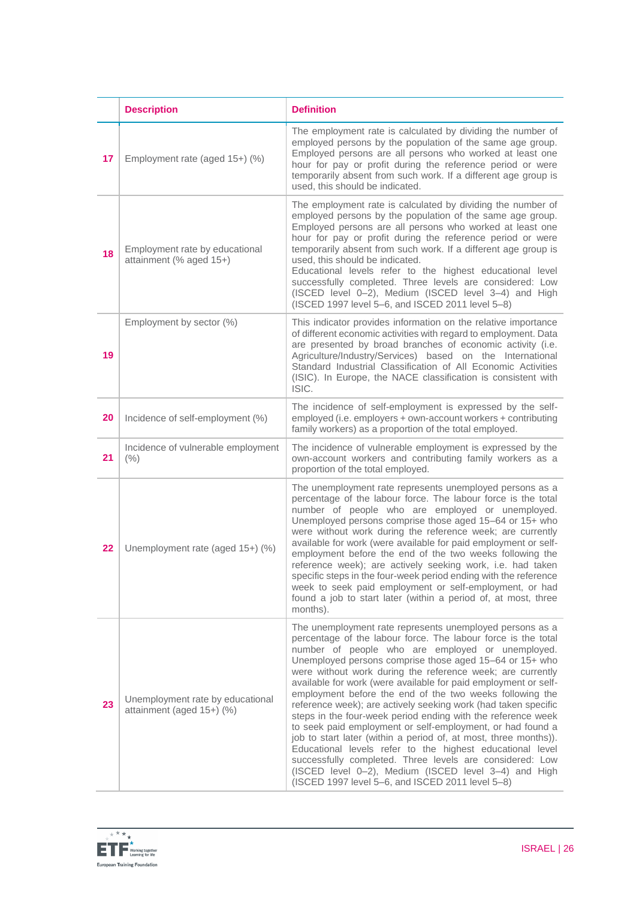|    | <b>Description</b>                                            | <b>Definition</b>                                                                                                                                                                                                                                                                                                                                                                                                                                                                                                                                                                                                                                                                                                                                                                                                                                                                                                                              |
|----|---------------------------------------------------------------|------------------------------------------------------------------------------------------------------------------------------------------------------------------------------------------------------------------------------------------------------------------------------------------------------------------------------------------------------------------------------------------------------------------------------------------------------------------------------------------------------------------------------------------------------------------------------------------------------------------------------------------------------------------------------------------------------------------------------------------------------------------------------------------------------------------------------------------------------------------------------------------------------------------------------------------------|
| 17 | Employment rate (aged 15+) (%)                                | The employment rate is calculated by dividing the number of<br>employed persons by the population of the same age group.<br>Employed persons are all persons who worked at least one<br>hour for pay or profit during the reference period or were<br>temporarily absent from such work. If a different age group is<br>used, this should be indicated.                                                                                                                                                                                                                                                                                                                                                                                                                                                                                                                                                                                        |
| 18 | Employment rate by educational<br>attainment (% aged 15+)     | The employment rate is calculated by dividing the number of<br>employed persons by the population of the same age group.<br>Employed persons are all persons who worked at least one<br>hour for pay or profit during the reference period or were<br>temporarily absent from such work. If a different age group is<br>used, this should be indicated.<br>Educational levels refer to the highest educational level<br>successfully completed. Three levels are considered: Low<br>(ISCED level 0-2), Medium (ISCED level 3-4) and High<br>(ISCED 1997 level 5-6, and ISCED 2011 level 5-8)                                                                                                                                                                                                                                                                                                                                                   |
| 19 | Employment by sector (%)                                      | This indicator provides information on the relative importance<br>of different economic activities with regard to employment. Data<br>are presented by broad branches of economic activity (i.e.<br>Agriculture/Industry/Services) based on the International<br>Standard Industrial Classification of All Economic Activities<br>(ISIC). In Europe, the NACE classification is consistent with<br>ISIC.                                                                                                                                                                                                                                                                                                                                                                                                                                                                                                                                       |
| 20 | Incidence of self-employment (%)                              | The incidence of self-employment is expressed by the self-<br>employed (i.e. employers + own-account workers + contributing<br>family workers) as a proportion of the total employed.                                                                                                                                                                                                                                                                                                                                                                                                                                                                                                                                                                                                                                                                                                                                                          |
| 21 | Incidence of vulnerable employment<br>(% )                    | The incidence of vulnerable employment is expressed by the<br>own-account workers and contributing family workers as a<br>proportion of the total employed.                                                                                                                                                                                                                                                                                                                                                                                                                                                                                                                                                                                                                                                                                                                                                                                    |
| 22 | Unemployment rate (aged 15+) (%)                              | The unemployment rate represents unemployed persons as a<br>percentage of the labour force. The labour force is the total<br>number of people who are employed or unemployed.<br>Unemployed persons comprise those aged 15-64 or 15+ who<br>were without work during the reference week; are currently<br>available for work (were available for paid employment or self-<br>employment before the end of the two weeks following the<br>reference week); are actively seeking work, i.e. had taken<br>specific steps in the four-week period ending with the reference<br>week to seek paid employment or self-employment, or had<br>found a job to start later (within a period of, at most, three<br>months).                                                                                                                                                                                                                               |
| 23 | Unemployment rate by educational<br>attainment (aged 15+) (%) | The unemployment rate represents unemployed persons as a<br>percentage of the labour force. The labour force is the total<br>number of people who are employed or unemployed.<br>Unemployed persons comprise those aged 15-64 or 15+ who<br>were without work during the reference week; are currently<br>available for work (were available for paid employment or self-<br>employment before the end of the two weeks following the<br>reference week); are actively seeking work (had taken specific<br>steps in the four-week period ending with the reference week<br>to seek paid employment or self-employment, or had found a<br>job to start later (within a period of, at most, three months)).<br>Educational levels refer to the highest educational level<br>successfully completed. Three levels are considered: Low<br>(ISCED level 0-2), Medium (ISCED level 3-4) and High<br>(ISCED 1997 level 5-6, and ISCED 2011 level 5-8) |

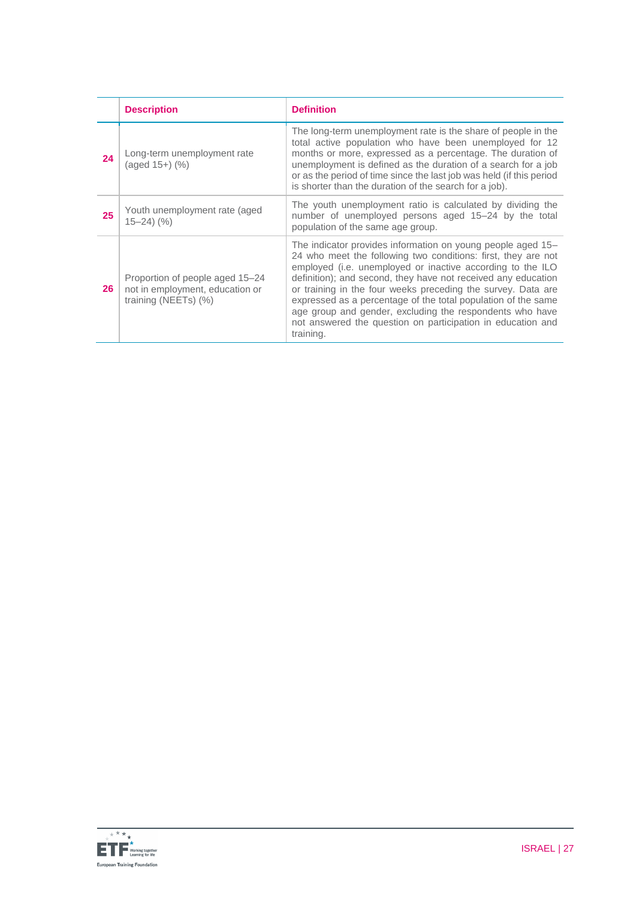|    | <b>Description</b>                                                                         | <b>Definition</b>                                                                                                                                                                                                                                                                                                                                                                                                                                                                                                                    |
|----|--------------------------------------------------------------------------------------------|--------------------------------------------------------------------------------------------------------------------------------------------------------------------------------------------------------------------------------------------------------------------------------------------------------------------------------------------------------------------------------------------------------------------------------------------------------------------------------------------------------------------------------------|
| 24 | Long-term unemployment rate<br>$(aged 15+)$ $(\%)$                                         | The long-term unemployment rate is the share of people in the<br>total active population who have been unemployed for 12<br>months or more, expressed as a percentage. The duration of<br>unemployment is defined as the duration of a search for a job<br>or as the period of time since the last job was held (if this period<br>is shorter than the duration of the search for a job).                                                                                                                                            |
| 25 | Youth unemployment rate (aged)<br>$15 - 24$ $(%)$                                          | The youth unemployment ratio is calculated by dividing the<br>number of unemployed persons aged 15-24 by the total<br>population of the same age group.                                                                                                                                                                                                                                                                                                                                                                              |
| 26 | Proportion of people aged 15–24<br>not in employment, education or<br>training (NEETs) (%) | The indicator provides information on young people aged 15–<br>24 who meet the following two conditions: first, they are not<br>employed (i.e. unemployed or inactive according to the ILO<br>definition); and second, they have not received any education<br>or training in the four weeks preceding the survey. Data are<br>expressed as a percentage of the total population of the same<br>age group and gender, excluding the respondents who have<br>not answered the question on participation in education and<br>training. |

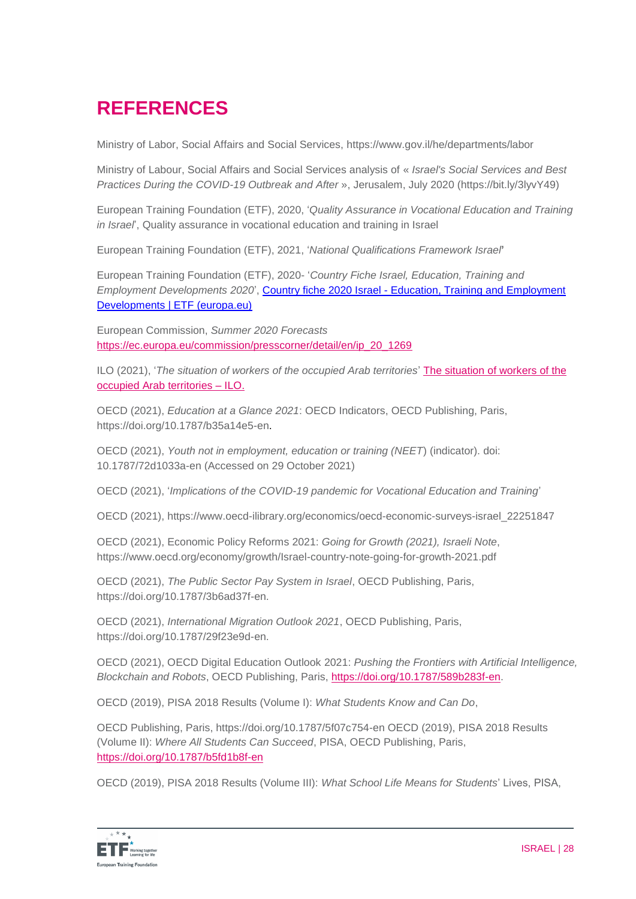# **REFERENCES**

Ministry of Labor, Social Affairs and Social Services, https://www.gov.il/he/departments/labor

Ministry of Labour, Social Affairs and Social Services analysis of « *Israel's Social Services and Best Practices During the COVID-19 Outbreak and After* », Jerusalem, July 2020 [\(https://bit.ly/3lyvY49\)](https://bit.ly/3lyvY49)

European Training Foundation (ETF), 2020, '*Quality Assurance in Vocational Education and Training in Israel*', Quality assurance in vocational education and training in Israel

European Training Foundation (ETF), 2021, '*National Qualifications Framework Israel***'**

European Training Foundation (ETF), 2020- '*Country Fiche Israel, Education, Training and Employment Developments 2020*', Country fiche 2020 Israel - [Education, Training and Employment](https://www.etf.europa.eu/en/document-attachments/country-fiche-2020-israel-education-training-and-employment-developments)  [Developments | ETF \(europa.eu\)](https://www.etf.europa.eu/en/document-attachments/country-fiche-2020-israel-education-training-and-employment-developments)

European Commission, *Summer 2020 Forecasts* [https://ec.europa.eu/commission/presscorner/detail/en/ip\\_20\\_1269](https://ec.europa.eu/commission/presscorner/detail/en/ip_20_1269)

ILO (2021), '*The situation of workers of the occupied Arab territories*' [The situation of workers of the](https://www.google.com/url?sa=t&rct=j&q=&esrc=s&source=web&cd=&cad=rja&uact=8&ved=2ahUKEwjW-5PhjejzAhUIMuwKHQWVAMwQFnoECAQQAQ&url=https%3A%2F%2Fwww.ilo.org%2Filc%2FILCSessions%2F109%2Freports%2Freports-to-the-conference%2FWCMS_793285%2Flang--en%2Findex.htm&usg=AOvVaw3LLAU9M2IDULc7QMh4oi6_)  [occupied Arab territories –](https://www.google.com/url?sa=t&rct=j&q=&esrc=s&source=web&cd=&cad=rja&uact=8&ved=2ahUKEwjW-5PhjejzAhUIMuwKHQWVAMwQFnoECAQQAQ&url=https%3A%2F%2Fwww.ilo.org%2Filc%2FILCSessions%2F109%2Freports%2Freports-to-the-conference%2FWCMS_793285%2Flang--en%2Findex.htm&usg=AOvVaw3LLAU9M2IDULc7QMh4oi6_) ILO.

OECD (2021), *Education at a Glance 2021*: OECD Indicators, OECD Publishing, Paris, [https://doi.org/10.1787/b35a14e5-en.](https://doi.org/10.1787/b35a14e5-en)

OECD (2021), *Youth not in employment, education or training (NEET*) (indicator). doi: 10.1787/72d1033a-en (Accessed on 29 October 2021)

OECD (2021), '*Implications of the COVID-19 pandemic for Vocational Education and Training*'

OECD (2021), [https://www.oecd-ilibrary.org/economics/oecd-economic-surveys-israel\\_22251847](https://www.oecd-ilibrary.org/economics/oecd-economic-surveys-israel_22251847)

OECD (2021), Economic Policy Reforms 2021: *Going for Growth (2021), Israeli Note*, <https://www.oecd.org/economy/growth/Israel-country-note-going-for-growth-2021.pdf>

OECD (2021), *The Public Sector Pay System in Israel*, OECD Publishing, Paris, https://doi.org/10.1787/3b6ad37f-en.

OECD (2021), *International Migration Outlook 2021*, OECD Publishing, Paris, https://doi.org/10.1787/29f23e9d-en.

OECD (2021), OECD Digital Education Outlook 2021: *Pushing the Frontiers with Artificial Intelligence, Blockchain and Robots*, OECD Publishing, Paris, [https://doi.org/10.1787/589b283f-en.](https://doi.org/10.1787/589b283f-en)

OECD (2019), PISA 2018 Results (Volume I): *What Students Know and Can Do*,

OECD Publishing, Paris, https://doi.org/10.1787/5f07c754-en OECD (2019), PISA 2018 Results (Volume II): *Where All Students Can Succeed*, PISA, OECD Publishing, Paris, <https://doi.org/10.1787/b5fd1b8f-en>

OECD (2019), PISA 2018 Results (Volume III): *What School Life Means for Students*' Lives, PISA,

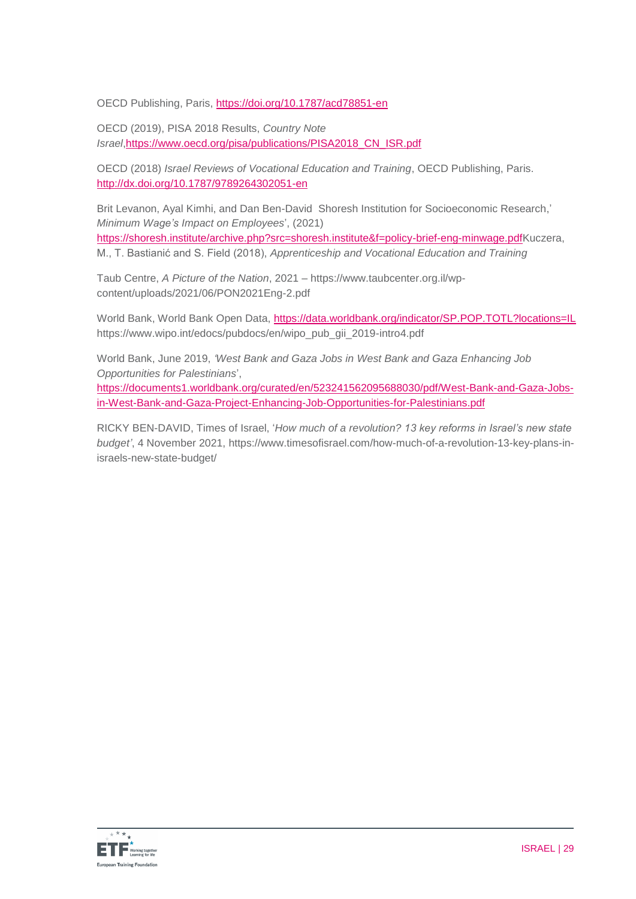OECD Publishing, Paris,<https://doi.org/10.1787/acd78851-en>

OECD (2019), PISA 2018 Results, *Country Note Israel*[,https://www.oecd.org/pisa/publications/PISA2018\\_CN\\_ISR.pdf](https://www.oecd.org/pisa/publications/PISA2018_CN_ISR.pdf)

OECD (2018) *Israel Reviews of Vocational Education and Training*, OECD Publishing, Paris. <http://dx.doi.org/10.1787/9789264302051-en>

Brit Levanon, Ayal Kimhi, and Dan Ben-David Shoresh Institution for Socioeconomic Research,' *Minimum Wage's Impact on Employees*', (2021) [https://shoresh.institute/archive.php?src=shoresh.institute&f=policy-brief-eng-minwage.pdfK](https://shoresh.institute/archive.php?src=shoresh.institute&f=policy-brief-eng-minwage.pdf)uczera,

M., T. Bastianić and S. Field (2018), *Apprenticeship and Vocational Education and Training* 

Taub Centre, *A Picture of the Nation*, 2021 – https://www.taubcenter.org.il/wpcontent/uploads/2021/06/PON2021Eng-2.pdf

World Bank, World Bank Open Data,<https://data.worldbank.org/indicator/SP.POP.TOTL?locations=IL> https://www.wipo.int/edocs/pubdocs/en/wipo\_pub\_gii\_2019-intro4.pdf

World Bank, June 2019, *'West Bank and Gaza Jobs in West Bank and Gaza Enhancing Job Opportunities for Palestinians*',

[https://documents1.worldbank.org/curated/en/523241562095688030/pdf/West-Bank-and-Gaza-Jobs](https://documents1.worldbank.org/curated/en/523241562095688030/pdf/West-Bank-and-Gaza-Jobs-in-West-Bank-and-Gaza-Project-Enhancing-Job-Opportunities-for-Palestinians.pdf)[in-West-Bank-and-Gaza-Project-Enhancing-Job-Opportunities-for-Palestinians.pdf](https://documents1.worldbank.org/curated/en/523241562095688030/pdf/West-Bank-and-Gaza-Jobs-in-West-Bank-and-Gaza-Project-Enhancing-Job-Opportunities-for-Palestinians.pdf)

[RICKY BEN-DAVID,](https://www.timesofisrael.com/writers/ricky-ben-david/) Times of Israel, '*How much of a revolution? 13 key reforms in Israel's new state budget'*, 4 November 2021, https://www.timesofisrael.com/how-much-of-a-revolution-13-key-plans-inisraels-new-state-budget/

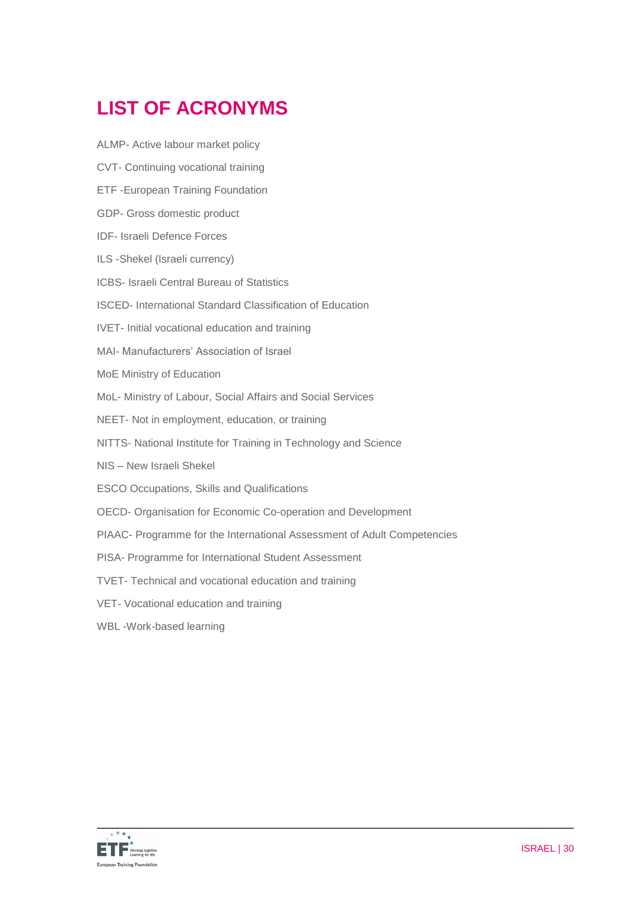# **LIST OF ACRONYMS**

- ALMP- Active labour market policy
- CVT- Continuing vocational training
- ETF -European Training Foundation
- GDP- Gross domestic product
- IDF- Israeli Defence Forces
- ILS -Shekel (Israeli currency)
- ICBS- Israeli Central Bureau of Statistics
- ISCED- International Standard Classification of Education
- IVET- Initial vocational education and training
- MAI- Manufacturers' Association of Israel
- MoE Ministry of Education
- MoL- Ministry of Labour, Social Affairs and Social Services
- NEET- Not in employment, education, or training
- NITTS- National Institute for Training in Technology and Science
- NIS New Israeli Shekel
- ESCO Occupations, Skills and Qualifications
- OECD- Organisation for Economic Co-operation and Development
- PIAAC- Programme for the International Assessment of Adult Competencies
- PISA- Programme for International Student Assessment
- TVET- Technical and vocational education and training
- VET- Vocational education and training
- WBL -Work-based learning